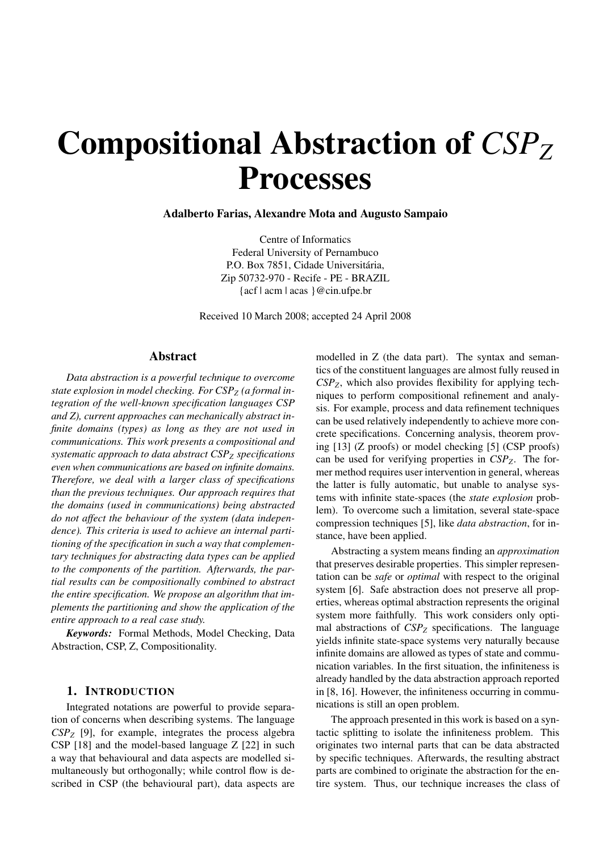# Compositional Abstraction of  $CSP<sub>Z</sub>$ **Processes**

# Adalberto Farias, Alexandre Mota and Augusto Sampaio

Centre of Informatics Federal University of Pernambuco P.O. Box 7851, Cidade Universitária, Zip 50732-970 - Recife - PE - BRAZIL {acf | acm | acas }@cin.ufpe.br

Received 10 March 2008; accepted 24 April 2008

#### Abstract

*Data abstraction is a powerful technique to overcome* state explosion in model checking. For CSP<sub>Z</sub> (a formal in*tegration of the well-known specification languages CSP and Z), current approaches can mechanically abstract infinite domains (types) as long as they are not used in communications. This work presents a compositional and systematic approach to data abstract CSPZ specifications even when communications are based on infinite domains. Therefore, we deal with a larger class of specifications than the previous techniques. Our approach requires that the domains (used in communications) being abstracted do not affect the behaviour of the system (data independence). This criteria is used to achieve an internal partitioning of the specification in such a way that complementary techniques for abstracting data types can be applied to the components of the partition. Afterwards, the partial results can be compositionally combined to abstract the entire specification. We propose an algorithm that implements the partitioning and show the application of the entire approach to a real case study.*

*Keywords:* Formal Methods, Model Checking, Data Abstraction, CSP, Z, Compositionality.

#### 1. INTRODUCTION

Integrated notations are powerful to provide separation of concerns when describing systems. The language *CSPZ* [9], for example, integrates the process algebra CSP [18] and the model-based language Z [22] in such a way that behavioural and data aspects are modelled simultaneously but orthogonally; while control flow is described in CSP (the behavioural part), data aspects are modelled in Z (the data part). The syntax and semantics of the constituent languages are almost fully reused in *CSPZ*, which also provides flexibility for applying techniques to perform compositional refinement and analysis. For example, process and data refinement techniques can be used relatively independently to achieve more concrete specifications. Concerning analysis, theorem proving [13] (Z proofs) or model checking [5] (CSP proofs) can be used for verifying properties in *CSPZ*. The former method requires user intervention in general, whereas the latter is fully automatic, but unable to analyse systems with infinite state-spaces (the *state explosion* problem). To overcome such a limitation, several state-space compression techniques [5], like *data abstraction*, for instance, have been applied.

Abstracting a system means finding an *approximation* that preserves desirable properties. This simpler representation can be *safe* or *optimal* with respect to the original system [6]. Safe abstraction does not preserve all properties, whereas optimal abstraction represents the original system more faithfully. This work considers only optimal abstractions of  $CSP_Z$  specifications. The language yields infinite state-space systems very naturally because infinite domains are allowed as types of state and communication variables. In the first situation, the infiniteness is already handled by the data abstraction approach reported in [8, 16]. However, the infiniteness occurring in communications is still an open problem.

The approach presented in this work is based on a syntactic splitting to isolate the infiniteness problem. This originates two internal parts that can be data abstracted by specific techniques. Afterwards, the resulting abstract parts are combined to originate the abstraction for the entire system. Thus, our technique increases the class of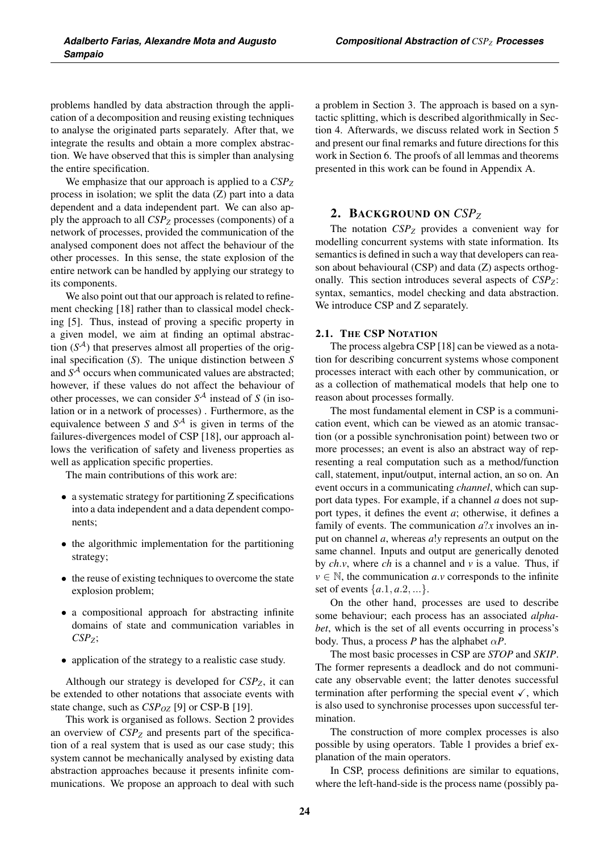problems handled by data abstraction through the application of a decomposition and reusing existing techniques to analyse the originated parts separately. After that, we integrate the results and obtain a more complex abstraction. We have observed that this is simpler than analysing the entire specification.

We emphasize that our approach is applied to a  $CSP_Z$ process in isolation; we split the data (Z) part into a data dependent and a data independent part. We can also apply the approach to all *CSPZ* processes (components) of a network of processes, provided the communication of the analysed component does not affect the behaviour of the other processes. In this sense, the state explosion of the entire network can be handled by applying our strategy to its components.

We also point out that our approach is related to refinement checking [18] rather than to classical model checking [5]. Thus, instead of proving a specific property in a given model, we aim at finding an optimal abstraction  $(S<sup>A</sup>)$  that preserves almost all properties of the original specification (*S*). The unique distinction between *S* and  $S<sup>A</sup>$  occurs when communicated values are abstracted; however, if these values do not affect the behaviour of other processes, we can consider  $S^{\mathcal{A}}$  instead of *S* (in isolation or in a network of processes) . Furthermore, as the equivalence between *S* and  $S<sup>A</sup>$  is given in terms of the failures-divergences model of CSP [18], our approach allows the verification of safety and liveness properties as well as application specific properties.

The main contributions of this work are:

- a systematic strategy for partitioning Z specifications into a data independent and a data dependent components;
- the algorithmic implementation for the partitioning strategy;
- the reuse of existing techniques to overcome the state explosion problem;
- a compositional approach for abstracting infinite domains of state and communication variables in *CSPZ*;
- application of the strategy to a realistic case study.

Although our strategy is developed for *CSPZ*, it can be extended to other notations that associate events with state change, such as *CSP<sub>OZ</sub>* [9] or *CSP-B* [19].

This work is organised as follows. Section 2 provides an overview of  $CSP<sub>Z</sub>$  and presents part of the specification of a real system that is used as our case study; this system cannot be mechanically analysed by existing data abstraction approaches because it presents infinite communications. We propose an approach to deal with such a problem in Section 3. The approach is based on a syntactic splitting, which is described algorithmically in Section 4. Afterwards, we discuss related work in Section 5 and present our final remarks and future directions for this work in Section 6. The proofs of all lemmas and theorems presented in this work can be found in Appendix A.

# 2. BACKGROUND ON *CSPZ*

The notation *CSP<sub>Z</sub>* provides a convenient way for modelling concurrent systems with state information. Its semantics is defined in such a way that developers can reason about behavioural (CSP) and data (Z) aspects orthogonally. This section introduces several aspects of *CSPZ*: syntax, semantics, model checking and data abstraction. We introduce CSP and Z separately.

#### 2.1. THE CSP NOTATION

The process algebra CSP [18] can be viewed as a notation for describing concurrent systems whose component processes interact with each other by communication, or as a collection of mathematical models that help one to reason about processes formally.

The most fundamental element in CSP is a communication event, which can be viewed as an atomic transaction (or a possible synchronisation point) between two or more processes; an event is also an abstract way of representing a real computation such as a method/function call, statement, input/output, internal action, an so on. An event occurs in a communicating *channel*, which can support data types. For example, if a channel *a* does not support types, it defines the event *a*; otherwise, it defines a family of events. The communication *a*?*x* involves an input on channel *a*, whereas *a*!*y* represents an output on the same channel. Inputs and output are generically denoted by *ch*.*v*, where *ch* is a channel and *v* is a value. Thus, if  $v \in \mathbb{N}$ , the communication *a*.*v* corresponds to the infinite set of events  $\{a.1, a.2, ...\}$ .

On the other hand, processes are used to describe some behaviour; each process has an associated *alphabet*, which is the set of all events occurring in process's body. Thus, a process *P* has the alphabet  $\alpha P$ .

The most basic processes in CSP are *STOP* and *SKIP*. The former represents a deadlock and do not communicate any observable event; the latter denotes successful termination after performing the special event  $\checkmark$ , which is also used to synchronise processes upon successful termination.

The construction of more complex processes is also possible by using operators. Table 1 provides a brief explanation of the main operators.

In CSP, process definitions are similar to equations, where the left-hand-side is the process name (possibly pa-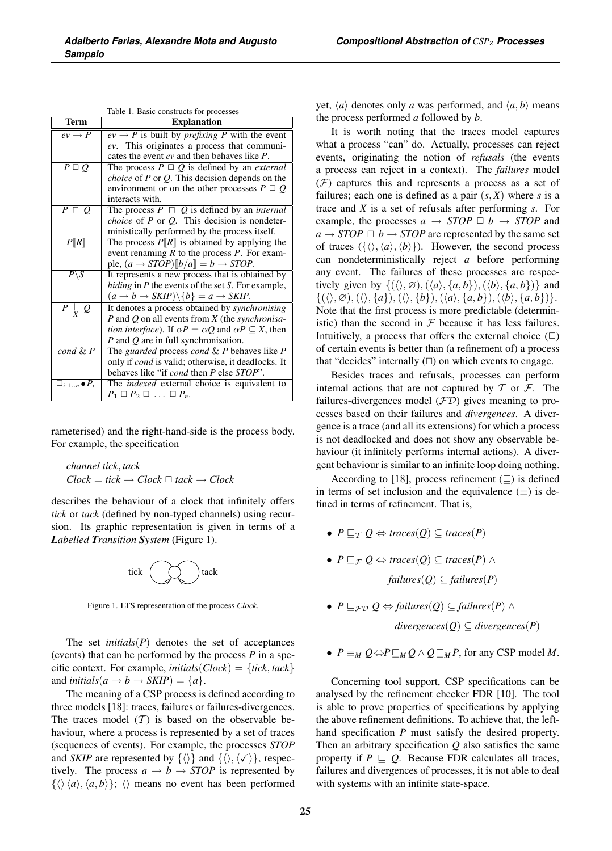| Table 1. Basic constructs for processes |                                                                                   |  |
|-----------------------------------------|-----------------------------------------------------------------------------------|--|
| <b>Term</b>                             | <b>Explanation</b>                                                                |  |
| $ev \rightarrow P$                      | $ev \rightarrow P$ is built by <i>prefixing</i> P with the event                  |  |
|                                         | ev. This originates a process that communi-                                       |  |
|                                         | cates the event ev and then behaves like P.                                       |  |
| $P \square O$                           | The process $P \square Q$ is defined by an <i>external</i>                        |  |
|                                         | <i>choice</i> of $P$ or $Q$ . This decision depends on the                        |  |
|                                         | environment or on the other processes $P \square Q$                               |  |
|                                         | interacts with.                                                                   |  |
| $\overline{P\sqcap Q}$                  | The process $P \cap Q$ is defined by an <i>internal</i>                           |  |
|                                         | <i>choice</i> of $P$ or $Q$ . This decision is nondeter-                          |  |
|                                         | ministically performed by the process itself.                                     |  |
| P[R]                                    | The process $P[\R]$ is obtained by applying the                                   |  |
|                                         | event renaming $R$ to the process $P$ . For exam-                                 |  |
|                                         | ple, $(a \rightarrow STOP)[b/a] = b \rightarrow STOP$ .                           |  |
| $P\backslash S$                         | It represents a new process that is obtained by                                   |  |
|                                         | <i>hiding</i> in P the events of the set S. For example,                          |  |
|                                         | $(a \rightarrow b \rightarrow SKIP) \backslash \{b\} = a \rightarrow SKIP.$       |  |
| $P \parallel Q$                         | It denotes a process obtained by <i>synchronising</i>                             |  |
|                                         | P and Q on all events from X (the <i>synchronisa</i> -                            |  |
|                                         | <i>tion interface</i> ). If $\alpha P = \alpha Q$ and $\alpha P \subset X$ , then |  |
|                                         | $P$ and $Q$ are in full synchronisation.                                          |  |
| $\overline{cond\ \&\ P}$                | The guarded process cond $\& P$ behaves like $P$                                  |  |
|                                         | only if cond is valid; otherwise, it deadlocks. It                                |  |
|                                         | behaves like "if <i>cond</i> then <i>P</i> else <i>STOP</i> ".                    |  |
| $\Box_{i:1n} \bullet P_i$               | The <i>indexed</i> external choice is equivalent to                               |  |
|                                         | $P_1 \square P_2 \square \ldots \square P_n$                                      |  |

rameterised) and the right-hand-side is the process body. For example, the specification

*channel tick*, *tack*  $Clock = tick \rightarrow Clock \square$  *tack*  $\rightarrow Clock$ 

describes the behaviour of a clock that infinitely offers *tick* or *tack* (defined by non-typed channels) using recursion. Its graphic representation is given in terms of a *Labelled Transition System* (Figure 1).



Figure 1. LTS representation of the process *Clock*.

The set *initials* $(P)$  denotes the set of acceptances (events) that can be performed by the process *P* in a specific context. For example, *initials*( $Clock$ ) = {*tick*, *tack*} and *initials*( $a \rightarrow b \rightarrow \text{SKIP}$ ) = { $a$  }.

The meaning of a CSP process is defined according to three models [18]: traces, failures or failures-divergences. The traces model  $(T)$  is based on the observable behaviour, where a process is represented by a set of traces (sequences of events). For example, the processes *STOP* and *SKIP* are represented by  $\{\langle\rangle\}$  and  $\{\langle\rangle, \langle\neg\rangle\}$ , respectively. The process  $a \rightarrow b \rightarrow STOP$  is represented by  $\{\langle \rangle \langle a \rangle, \langle a, b \rangle\};\; \langle \rangle$  means no event has been performed yet,  $\langle a \rangle$  denotes only *a* was performed, and  $\langle a, b \rangle$  means the process performed *a* followed by *b*.

It is worth noting that the traces model captures what a process "can" do. Actually, processes can reject events, originating the notion of *refusals* (the events a process can reject in a context). The *failures* model  $(F)$  captures this and represents a process as a set of failures; each one is defined as a pair  $(s, X)$  where *s* is a trace and *X* is a set of refusals after performing *s*. For example, the processes  $a \rightarrow STOP \Box b \rightarrow STOP$  and  $a \rightarrow STOP \sqcap b \rightarrow STOP$  are represented by the same set of traces  $({\{\langle}, \langle a \rangle, \langle b \rangle\})$ . However, the second process can nondeterministically reject *a* before performing any event. The failures of these processes are respectively given by  $\{(\langle \rangle, \emptyset), (\langle a \rangle, \{a, b\}), (\langle b \rangle, \{a, b\})\}$  and  $\{(\langle \rangle, \varnothing), (\langle \rangle, \{a\}), (\langle \rangle, \{b\}), (\langle a \rangle, \{a, b\}), (\langle b \rangle, \{a, b\})\}.$ Note that the first process is more predictable (deterministic) than the second in  $\mathcal F$  because it has less failures. Intuitively, a process that offers the external choice  $(\Box)$ of certain events is better than (a refinement of) a process that "decides" internally  $(\square)$  on which events to engage.

Besides traces and refusals, processes can perform internal actions that are not captured by  $T$  or  $\mathcal{F}$ . The failures-divergences model  $(FD)$  gives meaning to processes based on their failures and *divergences*. A divergence is a trace (and all its extensions) for which a process is not deadlocked and does not show any observable behaviour (it infinitely performs internal actions). A divergent behaviour is similar to an infinite loop doing nothing.

According to [18], process refinement  $(\square)$  is defined in terms of set inclusion and the equivalence  $(\equiv)$  is defined in terms of refinement. That is,

- $P \sqsubset_{\mathcal{T}} Q \Leftrightarrow$  *traces*(*Q*)  $\subset$  *traces*(*P*)
- $P \sqsubseteq_{\mathcal{F}} Q \Leftrightarrow$  *traces*( $Q$ )  $\subseteq$  *traces*( $P$ )  $\wedge$ *failures*( $Q$ ) ⊆ *failures*( $P$ )
- $P \sqsubseteq_{\mathcal{FD}} Q \Leftrightarrow \text{failures}(Q) \subseteq \text{failures}(P) \wedge$

 $divergences(Q) \subseteq divergences(P)$ 

•  $P \equiv_M Q \Leftrightarrow P \sqsubseteq_M Q \wedge Q \sqsubseteq_M P$ , for any CSP model *M*.

Concerning tool support, CSP specifications can be analysed by the refinement checker FDR [10]. The tool is able to prove properties of specifications by applying the above refinement definitions. To achieve that, the lefthand specification *P* must satisfy the desired property. Then an arbitrary specification *Q* also satisfies the same property if  $P \sqsubseteq Q$ . Because FDR calculates all traces, failures and divergences of processes, it is not able to deal with systems with an infinite state-space.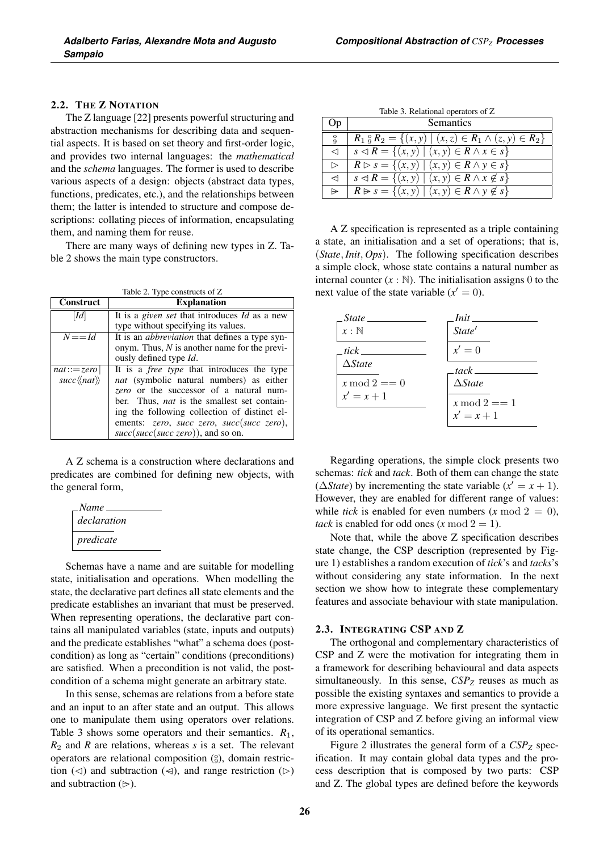### 2.2. THE Z NOTATION

The Z language [22] presents powerful structuring and abstraction mechanisms for describing data and sequential aspects. It is based on set theory and first-order logic, and provides two internal languages: the *mathematical* and the *schema* languages. The former is used to describe various aspects of a design: objects (abstract data types, functions, predicates, etc.), and the relationships between them; the latter is intended to structure and compose descriptions: collating pieces of information, encapsulating them, and naming them for reuse.

There are many ways of defining new types in Z. Table 2 shows the main type constructors.

Table 2. Type constructs of Z

| Construct                              | <b>Explanation</b>                                          |  |
|----------------------------------------|-------------------------------------------------------------|--|
| $\left Id\right $                      | It is a <i>given set</i> that introduces <i>Id</i> as a new |  |
|                                        | type without specifying its values.                         |  |
| $N = = Id$                             | It is an <i>abbreviation</i> that defines a type syn-       |  |
|                                        | onym. Thus, $N$ is another name for the previ-              |  |
|                                        | ously defined type Id.                                      |  |
| $nat ::= zero$                         | It is a <i>free type</i> that introduces the type           |  |
| $succ\langle\langle nat\rangle\rangle$ | nat (symbolic natural numbers) as either                    |  |
|                                        | zero or the successor of a natural num-                     |  |
|                                        | ber. Thus, <i>nat</i> is the smallest set contain-          |  |
|                                        | ing the following collection of distinct el-                |  |
|                                        | ements: zero, succ zero, succ(succ zero),                   |  |
|                                        | $succ(succ(succ, zero))$ , and so on.                       |  |

A Z schema is a construction where declarations and predicates are combined for defining new objects, with the general form,

| Name        |  |
|-------------|--|
| declaration |  |
| predicate   |  |

Schemas have a name and are suitable for modelling state, initialisation and operations. When modelling the state, the declarative part defines all state elements and the predicate establishes an invariant that must be preserved. When representing operations, the declarative part contains all manipulated variables (state, inputs and outputs) and the predicate establishes "what" a schema does (postcondition) as long as "certain" conditions (preconditions) are satisfied. When a precondition is not valid, the postcondition of a schema might generate an arbitrary state.

In this sense, schemas are relations from a before state and an input to an after state and an output. This allows one to manipulate them using operators over relations. Table 3 shows some operators and their semantics. *R*1, *R*<sup>2</sup> and *R* are relations, whereas *s* is a set. The relevant operators are relational composition  $(\S)$ , domain restriction ( $\triangleleft$ ) and subtraction ( $\triangleleft$ ), and range restriction ( $\triangleright$ ) and subtraction  $(\triangleright)$ .

| Table 3. Relational operators of Z |
|------------------------------------|
|------------------------------------|

| Op               | Semantics                                                             |
|------------------|-----------------------------------------------------------------------|
| $\alpha$         | $R_1 \, \S R_2 = \{(x, y) \mid (x, z) \in R_1 \land (z, y) \in R_2\}$ |
| $\lhd$           | $s \triangleleft R = \{(x, y) \mid (x, y) \in R \land x \in s\}$      |
| $\triangleright$ | $R \triangleright s = \{(x, y) \mid (x, y) \in R \land y \in s\}$     |
| $\triangleleft$  | $s \triangleleft R = \{(x, y) \mid (x, y) \in R \land x \notin s\}$   |
| $\Rightarrow$    | $R \triangleright s = \{(x, y) \mid (x, y) \in R \land y \notin s\}$  |

A Z specification is represented as a triple containing a state, an initialisation and a set of operations; that is, (*State*, *Init*, *Ops*). The following specification describes a simple clock, whose state contains a natural number as internal counter  $(x : \mathbb{N})$ . The initialisation assigns 0 to the next value of the state variable  $(x' = 0)$ .

| State.          | Init —            |
|-----------------|-------------------|
| $x:\mathbb{N}$  | State'            |
| tick            | $x'=0$            |
| $\Delta State$  | $track$ $\_\_$    |
| $x \mod 2 == 0$ | $\triangle State$ |
| $x^\prime=x+1$  | $x \mod 2 == 1$   |
|                 | $x' = x + 1$      |

Regarding operations, the simple clock presents two schemas: *tick* and *tack*. Both of them can change the state ( $\triangle State$ ) by incrementing the state variable ( $x' = x + 1$ ). However, they are enabled for different range of values: while *tick* is enabled for even numbers  $(x \mod 2 = 0)$ , *tack* is enabled for odd ones  $(x \mod 2 = 1)$ .

Note that, while the above Z specification describes state change, the CSP description (represented by Figure 1) establishes a random execution of *tick*'s and *tacks*'s without considering any state information. In the next section we show how to integrate these complementary features and associate behaviour with state manipulation.

#### 2.3. INTEGRATING CSP AND Z

The orthogonal and complementary characteristics of CSP and Z were the motivation for integrating them in a framework for describing behavioural and data aspects simultaneously. In this sense,  $CSP_Z$  reuses as much as possible the existing syntaxes and semantics to provide a more expressive language. We first present the syntactic integration of CSP and Z before giving an informal view of its operational semantics.

Figure 2 illustrates the general form of a  $CSP_Z$  specification. It may contain global data types and the process description that is composed by two parts: CSP and Z. The global types are defined before the keywords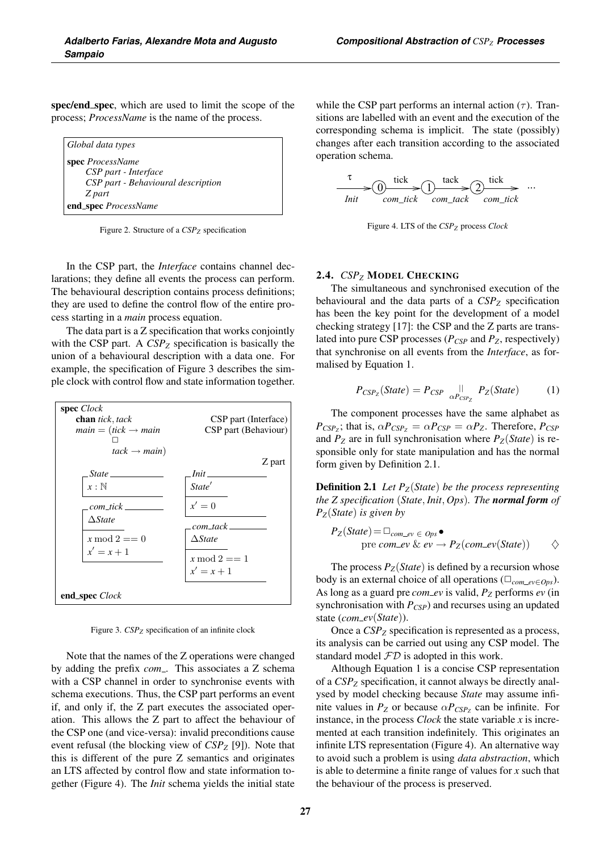spec/end\_spec, which are used to limit the scope of the process; *ProcessName* is the name of the process.

| Global data types              |                                    |
|--------------------------------|------------------------------------|
| <b>spec</b> <i>ProcessName</i> |                                    |
|                                | CSP part - Interface               |
|                                | CSP part - Behavioural description |
| Z part                         |                                    |
|                                | end_spec ProcessName               |

Figure 2. Structure of a *CSPZ* specification

In the CSP part, the *Interface* contains channel declarations; they define all events the process can perform. The behavioural description contains process definitions; they are used to define the control flow of the entire process starting in a *main* process equation.

The data part is a Z specification that works conjointly with the CSP part. A  $CSP_Z$  specification is basically the union of a behavioural description with a data one. For example, the specification of Figure 3 describes the simple clock with control flow and state information together.



Figure 3. *CSP<sub>Z</sub>* specification of an infinite clock

Note that the names of the Z operations were changed by adding the prefix *com*... This associates a Z schema with a CSP channel in order to synchronise events with schema executions. Thus, the CSP part performs an event if, and only if, the Z part executes the associated operation. This allows the Z part to affect the behaviour of the CSP one (and vice-versa): invalid preconditions cause event refusal (the blocking view of *CSPZ* [9]). Note that this is different of the pure Z semantics and originates an LTS affected by control flow and state information together (Figure 4). The *Init* schema yields the initial state while the CSP part performs an internal action  $(\tau)$ . Transitions are labelled with an event and the execution of the corresponding schema is implicit. The state (possibly) changes after each transition according to the associated operation schema.



Figure 4. LTS of the *CSPZ* process *Clock*

#### 2.4. *CSPZ* MODEL CHECKING

The simultaneous and synchronised execution of the behavioural and the data parts of a *CSPZ* specification has been the key point for the development of a model checking strategy [17]: the CSP and the Z parts are translated into pure CSP processes  $(P_{CSP}$  and  $P_Z$ , respectively) that synchronise on all events from the *Interface*, as formalised by Equation 1.

$$
P_{CSP_Z}(State) = P_{CSP} \underset{\alpha P_{CSP_Z}}{\parallel} P_Z(State) \tag{1}
$$

The component processes have the same alphabet as  $P_{CSP_Z}$ ; that is,  $\alpha P_{CSP_Z} = \alpha P_{CSP} = \alpha P_Z$ . Therefore,  $P_{CSP}$ and  $P_Z$  are in full synchronisation where  $P_Z(State)$  is responsible only for state manipulation and has the normal form given by Definition 2.1.

Definition 2.1 *Let PZ*(*State*) *be the process representing the Z specification* (*State*, *Init*, *Ops*)*. The normal form of PZ*(*State*) *is given by*

$$
P_Z(State) = \square_{com\_ev \in ops} \bullet
$$
  
pre com\\_ev &  $ev \rightarrow P_Z(com\_ev(State)) \qquad \diamondsuit$ 

The process  $P_Z(State)$  is defined by a recursion whose body is an external choice of all operations ( $\Box_{com\_ev \in Ops}$ ). As long as a guard pre *com ev* is valid, *PZ* performs *ev* (in synchronisation with  $P_{CSP}$ ) and recurses using an updated state (*com\_ev*(*State*)).

Once a  $CSP_Z$  specification is represented as a process, its analysis can be carried out using any CSP model. The standard model  $FD$  is adopted in this work.

Although Equation 1 is a concise CSP representation of a CSP<sub>Z</sub> specification, it cannot always be directly analysed by model checking because *State* may assume infinite values in  $P_Z$  or because  $\alpha P_{CSP_Z}$  can be infinite. For instance, in the process *Clock* the state variable *x* is incremented at each transition indefinitely. This originates an infinite LTS representation (Figure 4). An alternative way to avoid such a problem is using *data abstraction*, which is able to determine a finite range of values for *x* such that the behaviour of the process is preserved.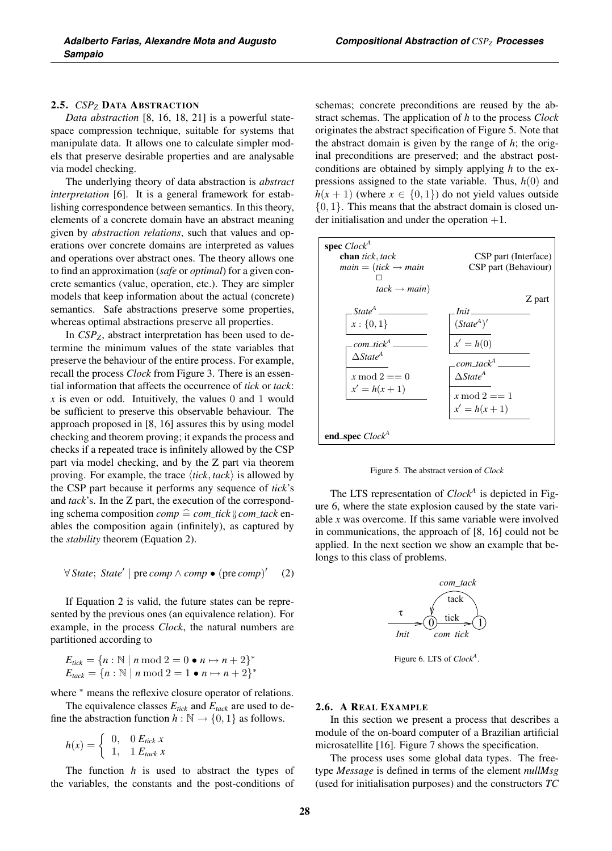# 2.5. *CSP<sub>Z</sub>* DATA ABSTRACTION

*Data abstraction* [8, 16, 18, 21] is a powerful statespace compression technique, suitable for systems that manipulate data. It allows one to calculate simpler models that preserve desirable properties and are analysable via model checking.

The underlying theory of data abstraction is *abstract interpretation* [6]. It is a general framework for establishing correspondence between semantics. In this theory, elements of a concrete domain have an abstract meaning given by *abstraction relations*, such that values and operations over concrete domains are interpreted as values and operations over abstract ones. The theory allows one to find an approximation (*safe* or *optimal*) for a given concrete semantics (value, operation, etc.). They are simpler models that keep information about the actual (concrete) semantics. Safe abstractions preserve some properties, whereas optimal abstractions preserve all properties.

In *CSPZ*, abstract interpretation has been used to determine the minimum values of the state variables that preserve the behaviour of the entire process. For example, recall the process *Clock* from Figure 3. There is an essential information that affects the occurrence of *tick* or *tack*:  $x$  is even or odd. Intuitively, the values 0 and 1 would be sufficient to preserve this observable behaviour. The approach proposed in [8, 16] assures this by using model checking and theorem proving; it expands the process and checks if a repeated trace is infinitely allowed by the CSP part via model checking, and by the Z part via theorem proving. For example, the trace  $\langle tick, track \rangle$  is allowed by the CSP part because it performs any sequence of *tick*'s and *tack*'s. In the Z part, the execution of the correspond- $\lim_{x \to a} \text{scheme}$  composition  $\text{comp} \cong \text{com\_tick} \S \text{ comm\_tack}$  enables the composition again (infinitely), as captured by the *stability* theorem (Equation 2).

$$
\forall State; State' | pre comp \land comp \bullet (pre comp)' \quad (2)
$$

If Equation 2 is valid, the future states can be represented by the previous ones (an equivalence relation). For example, in the process *Clock*, the natural numbers are partitioned according to

$$
E_{tick} = \{n : \mathbb{N} \mid n \mod 2 = 0 \bullet n \mapsto n + 2\}^*
$$
  

$$
E_{tack} = \{n : \mathbb{N} \mid n \mod 2 = 1 \bullet n \mapsto n + 2\}^*
$$

where  $*$  means the reflexive closure operator of relations.

The equivalence classes  $E_{tick}$  and  $E_{track}$  are used to define the abstraction function  $h : \mathbb{N} \to \{0, 1\}$  as follows.

 $h(x) = \begin{cases} 0, & 0 \text{ } E_{tick} \ x \ 1, & 1 \text{ } E_{tick} \ x \end{cases}$ 

The function *h* is used to abstract the types of the variables, the constants and the post-conditions of schemas; concrete preconditions are reused by the abstract schemas. The application of *h* to the process *Clock* originates the abstract specification of Figure 5. Note that the abstract domain is given by the range of *h*; the original preconditions are preserved; and the abstract postconditions are obtained by simply applying *h* to the expressions assigned to the state variable. Thus, *h*(0) and  $h(x + 1)$  (where  $x \in \{0, 1\}$ ) do not yield values outside  $\{0, 1\}$ . This means that the abstract domain is closed under initialisation and under the operation +1.



Figure 5. The abstract version of *Clock*

The LTS representation of *Clock<sup>A</sup>* is depicted in Figure 6, where the state explosion caused by the state variable *x* was overcome. If this same variable were involved in communications, the approach of [8, 16] could not be applied. In the next section we show an example that belongs to this class of problems.



Figure 6. LTS of *ClockA*.

#### 2.6. A REAL EXAMPLE

In this section we present a process that describes a module of the on-board computer of a Brazilian artificial microsatellite [16]. Figure 7 shows the specification.

The process uses some global data types. The freetype *Message* is defined in terms of the element *nullMsg* (used for initialisation purposes) and the constructors *TC*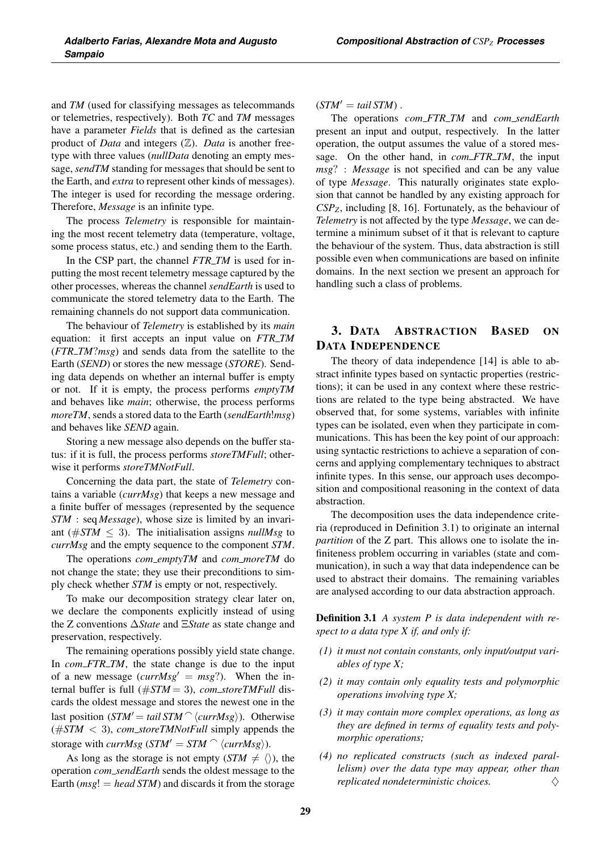and *TM* (used for classifying messages as telecommands or telemetries, respectively). Both *TC* and *TM* messages have a parameter *Fields* that is defined as the cartesian product of *Data* and integers (Z). *Data* is another freetype with three values (*nullData* denoting an empty message, *sendTM* standing for messages that should be sent to the Earth, and *extra* to represent other kinds of messages). The integer is used for recording the message ordering. Therefore, *Message* is an infinite type.

The process *Telemetry* is responsible for maintaining the most recent telemetry data (temperature, voltage, some process status, etc.) and sending them to the Earth.

In the CSP part, the channel *FTR\_TM* is used for inputting the most recent telemetry message captured by the other processes, whereas the channel *sendEarth* is used to communicate the stored telemetry data to the Earth. The remaining channels do not support data communication.

The behaviour of *Telemetry* is established by its *main* equation: it first accepts an input value on **FTR\_TM** (*FTR TM*?*msg*) and sends data from the satellite to the Earth (*SEND*) or stores the new message (*STORE*). Sending data depends on whether an internal buffer is empty or not. If it is empty, the process performs *emptyTM* and behaves like *main*; otherwise, the process performs *moreTM*, sends a stored data to the Earth (*sendEarth*!*msg*) and behaves like *SEND* again.

Storing a new message also depends on the buffer status: if it is full, the process performs *storeTMFull*; otherwise it performs *storeTMNotFull*.

Concerning the data part, the state of *Telemetry* contains a variable (*currMsg*) that keeps a new message and a finite buffer of messages (represented by the sequence *STM* : seq *Message*), whose size is limited by an invariant ( $\#STM \leq 3$ ). The initialisation assigns *nullMsg* to *currMsg* and the empty sequence to the component *STM*.

The operations *com emptyTM* and *com moreTM* do not change the state; they use their preconditions to simply check whether *STM* is empty or not, respectively.

To make our decomposition strategy clear later on, we declare the components explicitly instead of using the Z conventions Δ*State* and Ξ*State* as state change and preservation, respectively.

The remaining operations possibly yield state change. In *com\_FTR\_TM*, the state change is due to the input of a new message  $(currMsg' = msg?)$ . When the internal buffer is full (#*STM* = 3), *com storeTMFull* discards the oldest message and stores the newest one in the last position  $(STM' = tail STM^\frown \langle currMsg \rangle)$ . Otherwise  $(\#STM < 3)$ , *com\_storeTMNotFull* simply appends the storage with  $currMsg$  ( $STM' = STM \cap \langle currMsg \rangle$ ).

As long as the storage is not empty  $(STM \neq \langle \rangle)$ , the operation *com sendEarth* sends the oldest message to the Earth  $(msg! = head STM)$  and discards it from the storage  $(STM' = tail STM)$ .

The operations *com FTR TM* and *com sendEarth* present an input and output, respectively. In the latter operation, the output assumes the value of a stored message. On the other hand, in *com\_FTR\_TM*, the input *msg*? : *Message* is not specified and can be any value of type *Message*. This naturally originates state explosion that cannot be handled by any existing approach for *CSPZ*, including [8, 16]. Fortunately, as the behaviour of *Telemetry* is not affected by the type *Message*, we can determine a minimum subset of it that is relevant to capture the behaviour of the system. Thus, data abstraction is still possible even when communications are based on infinite domains. In the next section we present an approach for handling such a class of problems.

# 3. DATA ABSTRACTION BASED ON DATA INDEPENDENCE

The theory of data independence [14] is able to abstract infinite types based on syntactic properties (restrictions); it can be used in any context where these restrictions are related to the type being abstracted. We have observed that, for some systems, variables with infinite types can be isolated, even when they participate in communications. This has been the key point of our approach: using syntactic restrictions to achieve a separation of concerns and applying complementary techniques to abstract infinite types. In this sense, our approach uses decomposition and compositional reasoning in the context of data abstraction.

The decomposition uses the data independence criteria (reproduced in Definition 3.1) to originate an internal *partition* of the Z part. This allows one to isolate the infiniteness problem occurring in variables (state and communication), in such a way that data independence can be used to abstract their domains. The remaining variables are analysed according to our data abstraction approach.

Definition 3.1 *A system P is data independent with respect to a data type X if, and only if:*

- *(1) it must not contain constants, only input/output variables of type X;*
- *(2) it may contain only equality tests and polymorphic operations involving type X;*
- *(3) it may contain more complex operations, as long as they are defined in terms of equality tests and polymorphic operations;*
- *(4) no replicated constructs (such as indexed parallelism) over the data type may appear, other than replicated nondeterministic choices.*  $\Diamond$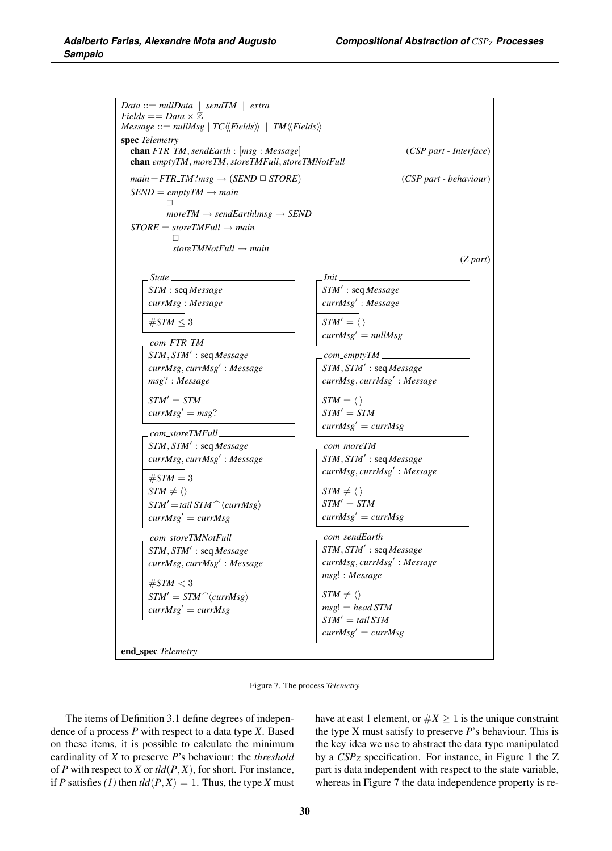| Fields $==$ Data $\times \mathbb{Z}$<br>$Message ::= nullMsg \mid TC \langle \langle Fields \rangle \rangle \mid TM \langle \langle Fields \rangle \rangle$ |                                        |
|-------------------------------------------------------------------------------------------------------------------------------------------------------------|----------------------------------------|
| spec Telemetry<br>chan FTR_TM, sendEarth : [msg : Message]<br>chan emptyTM, moreTM, storeTMFull, storeTMNotFull                                             | (CSP part - Interface)                 |
| $main = FTR\_TM?msg \rightarrow (SEND \sqcup STORE)$                                                                                                        | (CSP part - behaviour)                 |
| $SEND = emptyTM \rightarrow main$<br>п<br>$moreTM \rightarrow sendEarth!msg \rightarrow SEND$                                                               |                                        |
| $STOPE = storeTMFull \rightarrow main$                                                                                                                      |                                        |
| storeTMNotFull $\rightarrow$ main                                                                                                                           | $(Z$ part)                             |
|                                                                                                                                                             |                                        |
| State                                                                                                                                                       |                                        |
| STM : seq Message<br>currMsg: Message                                                                                                                       | STM': seq Message<br>currMsg': Message |
| $\#STM \leq 3$                                                                                                                                              | $STM' = \langle \rangle$               |
| .com_FTR_TM ____________                                                                                                                                    | $currMsg' = nullMsg$                   |
| $STM, STM'$ : seq Message                                                                                                                                   |                                        |
| currMsg, currMsg': Message                                                                                                                                  | $STM, STM'$ : seq Message              |
| msg?: Message                                                                                                                                               | currMsg, currMsg': Message             |
| $STM' = STM$                                                                                                                                                | $STM = \langle \rangle$                |
| $currMsg' = msg?$                                                                                                                                           | $STM' = STM$                           |
| .com_storeTMFull _______                                                                                                                                    | $currMsg' = currMsg$                   |
| $STM, STM'$ : seq Message                                                                                                                                   | .com_moreTM __________                 |
| currMsg, currMsg': Message                                                                                                                                  | STM, STM': seq Message                 |
|                                                                                                                                                             | currMsg, currMsg': Message             |
| $\#STM = 3$                                                                                                                                                 |                                        |
| $STM \neq \langle \rangle$                                                                                                                                  | $STM \neq \langle \rangle$             |
| $STM' = tail STM^\frown \langle currMsg \rangle$                                                                                                            | $STM' = STM$                           |
| $currMsg' = currMsg$                                                                                                                                        | $currMsg' = currMsg$                   |
| $com\_storeTMNotFull\_$                                                                                                                                     | $_{\rm.com\_sendEarth\_}$              |
| $STM, STM'$ : seq Message                                                                                                                                   | $STM, STM'$ : seq Message              |
| currMsg, currMsg': Message                                                                                                                                  | currMsg, currMsg': Message             |
| $\#STM < 3$                                                                                                                                                 | msg! : Message                         |
| $STM' = STM^\frown \langle currMsg \rangle$                                                                                                                 | $STM \neq \langle \rangle$             |
| $currMsg' = currMsg$                                                                                                                                        | $msg! = head STM$                      |
|                                                                                                                                                             | $STM' = tail STM$                      |
|                                                                                                                                                             | $currMsg' = currMsg$                   |

Figure 7. The process *Telemetry*

The items of Definition 3.1 define degrees of independence of a process *P* with respect to a data type *X*. Based on these items, it is possible to calculate the minimum cardinality of *X* to preserve *P*'s behaviour: the *threshold* of *P* with respect to *X* or *tld*(*P*, *X*), for short. For instance, if *P* satisfies (1) then  $tld(P, X) = 1$ . Thus, the type *X* must have at east 1 element, or  $\#X \geq 1$  is the unique constraint the type X must satisfy to preserve *P*'s behaviour. This is the key idea we use to abstract the data type manipulated by a *CSPZ* specification. For instance, in Figure 1 the Z part is data independent with respect to the state variable, whereas in Figure 7 the data independence property is re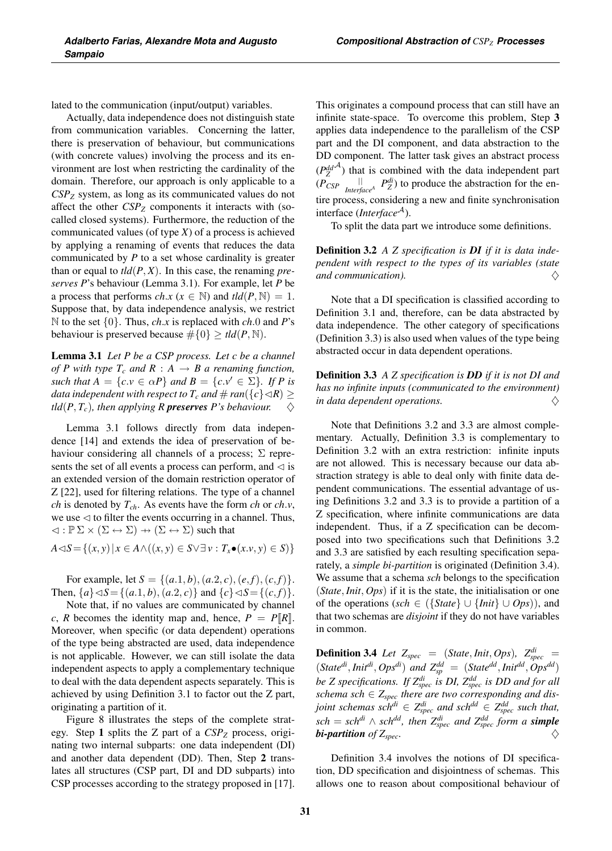lated to the communication (input/output) variables.

Actually, data independence does not distinguish state from communication variables. Concerning the latter, there is preservation of behaviour, but communications (with concrete values) involving the process and its environment are lost when restricting the cardinality of the domain. Therefore, our approach is only applicable to a *CSPZ* system, as long as its communicated values do not affect the other  $CSP<sub>Z</sub>$  components it interacts with (socalled closed systems). Furthermore, the reduction of the communicated values (of type *X*) of a process is achieved by applying a renaming of events that reduces the data communicated by *P* to a set whose cardinality is greater than or equal to  $tld(P, X)$ . In this case, the renaming *preserves P*'s behaviour (Lemma 3.1). For example, let *P* be a process that performs *ch.x* ( $x \in \mathbb{N}$ ) and  $tld(P, \mathbb{N})=1$ . Suppose that, by data independence analysis, we restrict <sup>N</sup> to the set {0}. Thus, *ch*.*<sup>x</sup>* is replaced with *ch*.<sup>0</sup> and *<sup>P</sup>*'s behaviour is preserved because  $\#\{0\} \geq tld(P, \mathbb{N}).$ 

Lemma 3.1 *Let P be a CSP process. Let c be a channel of P with type*  $T_c$  *and*  $R : A \rightarrow B$  *a renaming function, such that*  $A = \{c \cdot v \in \alpha P\}$  *and*  $B = \{c \cdot v' \in \Sigma\}$ *. If P is data independent with respect to*  $T_c$  *and*  $\#$  *ran*( $\{c\} \triangleleft R$ )  $\geq$  $tld(P, T_c)$ , then applying R **preserves** P's behaviour.

Lemma 3.1 follows directly from data independence [14] and extends the idea of preservation of behaviour considering all channels of a process;  $\Sigma$  represents the set of all events a process can perform, and  $\triangleleft$  is an extended version of the domain restriction operator of Z [22], used for filtering relations. The type of a channel *ch* is denoted by  $T_{ch}$ . As events have the form *ch* or *ch*.*v*, we use  $\triangleleft$  to filter the events occurring in a channel. Thus,  $\triangleleft : \mathbb{P} \Sigma \times (\Sigma \leftrightarrow \Sigma) \rightarrow (\Sigma \leftrightarrow \Sigma)$  such that

$$
A \triangleleft S = \{(x, y) \mid x \in A \land ((x, y) \in S \lor \exists v : T_x \bullet (x.v, y) \in S) \}
$$

For example, let  $S = \{(a.1, b), (a.2, c), (e, f), (c, f)\}.$ Then,  $\{a\} \triangleleft S = \{(a.1, b), (a.2, c)\}$  and  $\{c\} \triangleleft S = \{(c, f)\}.$ 

Note that, if no values are communicated by channel *c*, *R* becomes the identity map and, hence,  $P = P[R]$ . Moreover, when specific (or data dependent) operations of the type being abstracted are used, data independence is not applicable. However, we can still isolate the data independent aspects to apply a complementary technique to deal with the data dependent aspects separately. This is achieved by using Definition 3.1 to factor out the Z part, originating a partition of it.

Figure 8 illustrates the steps of the complete strategy. Step 1 splits the Z part of a *CSPZ* process, originating two internal subparts: one data independent (DI) and another data dependent (DD). Then, Step 2 translates all structures (CSP part, DI and DD subparts) into CSP processes according to the strategy proposed in [17]. This originates a compound process that can still have an infinite state-space. To overcome this problem, Step 3 applies data independence to the parallelism of the CSP part and the DI component, and data abstraction to the DD component. The latter task gives an abstract process  $(P_Z^{dd}$ <sup> $\lambda$ </sup>) that is combined with the data independent part  $(P_{CSP}$   $\parallel$   $\parallel$   $P_{Z}^{di}$ ) to produce the abstraction for the entire process, considering a new and finite synchronisation interface (*Interface*<sup>A</sup>).

To split the data part we introduce some definitions.

Definition 3.2 *A Z specification is DI if it is data independent with respect to the types of its variables (state and communication).*  $\diamondsuit$ 

Note that a DI specification is classified according to Definition 3.1 and, therefore, can be data abstracted by data independence. The other category of specifications (Definition 3.3) is also used when values of the type being abstracted occur in data dependent operations.

Definition 3.3 *A Z specification is DD if it is not DI and has no infinite inputs (communicated to the environment) in data dependent operations.*  $\Diamond$ 

Note that Definitions 3.2 and 3.3 are almost complementary. Actually, Definition 3.3 is complementary to Definition 3.2 with an extra restriction: infinite inputs are not allowed. This is necessary because our data abstraction strategy is able to deal only with finite data dependent communications. The essential advantage of using Definitions 3.2 and 3.3 is to provide a partition of a Z specification, where infinite communications are data independent. Thus, if a Z specification can be decomposed into two specifications such that Definitions 3.2 and 3.3 are satisfied by each resulting specification separately, a *simple bi-partition* is originated (Definition 3.4). We assume that a schema *sch* belongs to the specification (*State*,*Init*, *Ops*) if it is the state, the initialisation or one of the operations (*sch* <sup>∈</sup> ({*State*}∪{*Init*} ∪ *Ops*)), and that two schemas are *disjoint* if they do not have variables in common.

**Definition 3.4** Let  $Z_{spec}$  = (*State, Init, Ops*)*,*  $Z_{spec}^{di}$  =  $(State^{di},Init^{di},Ops^{di})$  and  $Z_{sp}^{dd} = (State^{dd},Init^{dd},Ops^{dd})$ *be Z specifications. If Zdi spec is DI, Zdd spec is DD and for all schema sch* ∈ *Zspec there are two corresponding and disjoint schemas sch<sup>di</sup>*  $\in Z_{spec}^{di}$  *and sch<sup>dd</sup>*  $\in Z_{spec}^{dd}$  *such that,*  $\textit{sch} = \textit{sch}^{\textit{di}} \wedge \textit{sch}^{\textit{dd}}$ , then  $Z_{\textit{spec}}^{\textit{di}}$  and  $Z_{\textit{spec}}^{\textit{dd}}$  form a **simple** *bi-partition of*  $Z_{spec}$ .

Definition 3.4 involves the notions of DI specification, DD specification and disjointness of schemas. This allows one to reason about compositional behaviour of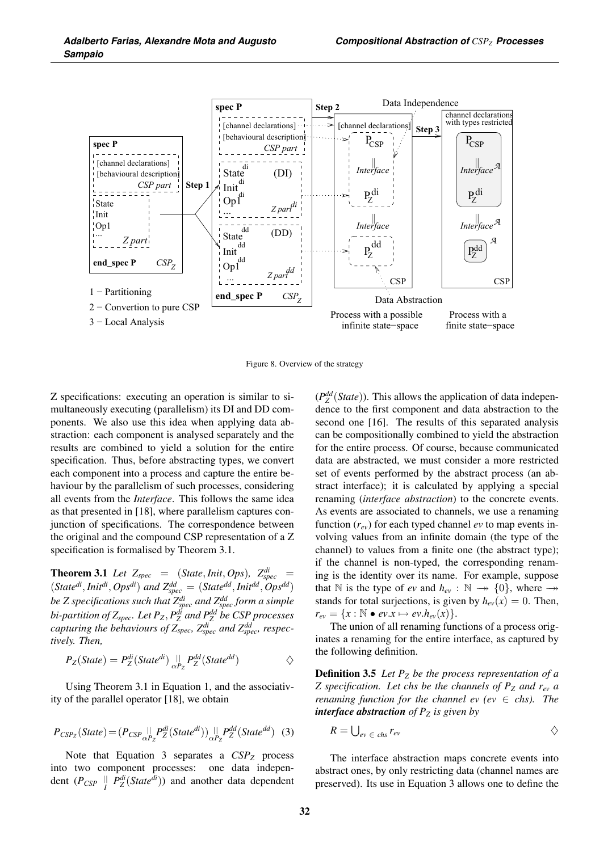

Figure 8. Overview of the strategy

Z specifications: executing an operation is similar to simultaneously executing (parallelism) its DI and DD components. We also use this idea when applying data abstraction: each component is analysed separately and the results are combined to yield a solution for the entire specification. Thus, before abstracting types, we convert each component into a process and capture the entire behaviour by the parallelism of such processes, considering all events from the *Interface*. This follows the same idea as that presented in [18], where parallelism captures conjunction of specifications. The correspondence between the original and the compound CSP representation of a Z specification is formalised by Theorem 3.1.

**Theorem 3.1** Let  $Z_{spec}$  = (*State*, *Init*, *Ops*)*,*  $Z_{spec}^{di}$  =  $(State^{di}, Init^{di},Ops^{di})$  and  $Z_{spec}^{dd} = (State^{dd}, Init^{dd},Ops^{dd})$ *be Z specifications such that Zdi spec and Zdd spec form a simple bi-partition of Zspec. Let PZ*, *Pdi <sup>Z</sup> and Pdd <sup>Z</sup> be CSP processes capturing the behaviours of Zspec, Zdi spec and Zdd spec, respectively. Then,*

$$
P_Z(State) = P_Z^{di}(State^{di}) \bigcup_{\alpha P_Z} P_Z^{dd}(State^{dd}) \qquad \diamondsuit
$$

Using Theorem 3.1 in Equation 1, and the associativity of the parallel operator [18], we obtain

$$
P_{CSP_Z}(State) = (P_{CSP}||_{\alpha P_Z} P_Z^{di}(State^{di})) ||_{\alpha P_Z} P_Z^{dd}(State^{dd})
$$
 (3)

Note that Equation 3 separates a  $CSP_Z$  process into two component processes: one data independent  $(P_{CSP} \parallel P_Z^{\text{di}}(State^{\text{di}}))$  and another data dependent

 $(P_Z^{dd}(State))$ . This allows the application of data independence to the first component and data abstraction to the second one [16]. The results of this separated analysis can be compositionally combined to yield the abstraction for the entire process. Of course, because communicated data are abstracted, we must consider a more restricted set of events performed by the abstract process (an abstract interface); it is calculated by applying a special renaming (*interface abstraction*) to the concrete events. As events are associated to channels, we use a renaming function  $(r_{ev})$  for each typed channel  $ev$  to map events involving values from an infinite domain (the type of the channel) to values from a finite one (the abstract type); if the channel is non-typed, the corresponding renaming is the identity over its name. For example, suppose that N is the type of *ev* and  $h_{ev} : \mathbb{N} \longrightarrow \{0\}$ , where  $\rightarrow$ stands for total surjections, is given by  $h_{ev}(x)=0$ . Then,  $r_{ev} = \{x : \mathbb{N} \bullet ev.x \mapsto ev.h_{ev}(x)\}.$ 

The union of all renaming functions of a process originates a renaming for the entire interface, as captured by the following definition.

Definition 3.5 *Let PZ be the process representation of a Z* specification. Let chs be the channels of  $P_Z$  and  $r_{ev}$  a *renaming function for the channel ev (ev*  $\in$  *chs). The interface abstraction of Pz is given by* 

$$
R=\bigcup_{ev \in \text{ }chs} r_{ev}
$$

The interface abstraction maps concrete events into abstract ones, by only restricting data (channel names are preserved). Its use in Equation 3 allows one to define the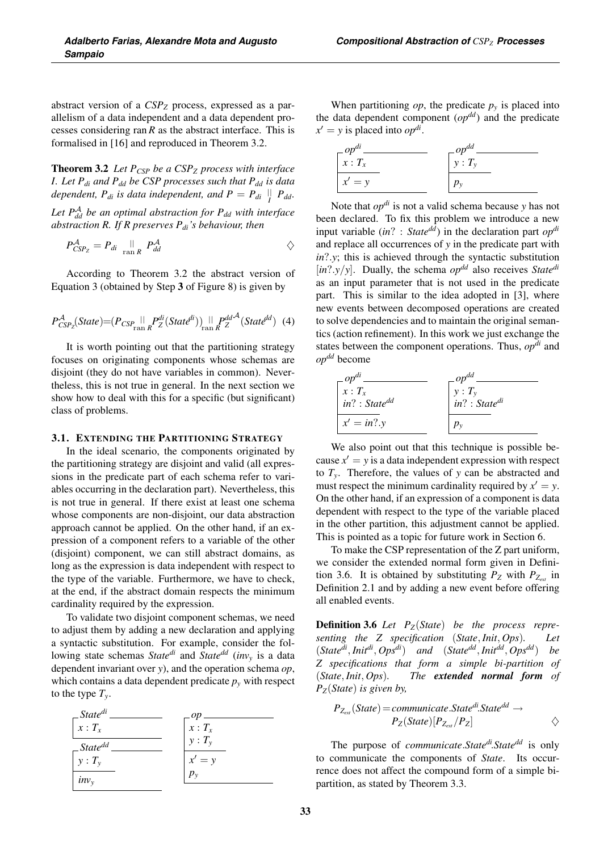abstract version of a  $CSP_Z$  process, expressed as a parallelism of a data independent and a data dependent processes considering ran *R* as the abstract interface. This is formalised in [16] and reproduced in Theorem 3.2.

Theorem 3.2 *Let PCSP be a CSPZ process with interface I. Let Pdi and Pdd be CSP processes such that Pdd is data dependent,*  $P_{di}$  *is data independent, and*  $P = P_{di} \parallel_{I} P_{dd}$ .

Let  $P_{dd}^{A}$  *be an optimal abstraction for*  $P_{dd}$  *with interface abstraction R. If R preserves Pdi's behaviour, then*

$$
P_{CSP_Z}^A = P_{di} \underset{\text{ran } R}{\parallel} P_{dd}^A
$$

According to Theorem 3.2 the abstract version of Equation 3 (obtained by Step 3 of Figure 8) is given by

$$
P_{CSP_2}^A(\text{State}) = (P_{CSP_{\text{ran }R}}||_{R}P_{Z}^{di}(\text{State}^{di}))_{\text{ran }R}||_{R}P_{Z}^{dd}^{\mathcal{A}}(\text{State}^{dd}) \quad (4)
$$

It is worth pointing out that the partitioning strategy focuses on originating components whose schemas are disjoint (they do not have variables in common). Nevertheless, this is not true in general. In the next section we show how to deal with this for a specific (but significant) class of problems.

#### 3.1. EXTENDING THE PARTITIONING STRATEGY

In the ideal scenario, the components originated by the partitioning strategy are disjoint and valid (all expressions in the predicate part of each schema refer to variables occurring in the declaration part). Nevertheless, this is not true in general. If there exist at least one schema whose components are non-disjoint, our data abstraction approach cannot be applied. On the other hand, if an expression of a component refers to a variable of the other (disjoint) component, we can still abstract domains, as long as the expression is data independent with respect to the type of the variable. Furthermore, we have to check, at the end, if the abstract domain respects the minimum cardinality required by the expression.

To validate two disjoint component schemas, we need to adjust them by adding a new declaration and applying a syntactic substitution. For example, consider the following state schemas *Statedi* and *Statedd* (*invy* is a data dependent invariant over *y*), and the operation schema *op*, which contains a data dependent predicate  $p_y$  with respect to the type  $T_{\rm y}$ .



When partitioning *op*, the predicate  $p<sub>y</sub>$  is placed into the data dependent component  $(\rho p^{dd})$  and the predicate  $x' = y$  is placed into  $op^{di}$ .

| $\bigcap_{x}^{op^{di}}$ . | $\Gamma^{op^{dd}}$ |
|---------------------------|--------------------|
|                           | $y: T_{v}$         |
| $x' = y$                  |                    |

Note that *opdi* is not a valid schema because *y* has not been declared. To fix this problem we introduce a new input variable (*in*? : *Statedd*) in the declaration part *opdi* and replace all occurrences of *y* in the predicate part with *in*?.*y*; this is achieved through the syntactic substitution [*in*?.*y*/*y*]. Dually, the schema *op*<sup>dd</sup> also receives *State*<sup>*di*</sup> as an input parameter that is not used in the predicate part. This is similar to the idea adopted in [3], where new events between decomposed operations are created to solve dependencies and to maintain the original semantics (action refinement). In this work we just exchange the states between the component operations. Thus, *opdi* and *opdd* become

| $\_op^{di}$        |                                                                                               |
|--------------------|-----------------------------------------------------------------------------------------------|
| $x: T_{x}$         | $\begin{array}{c}\n\text{-} op^{dd} \\ y: T_y \\ \text{in?} : \text{State}^{di}\n\end{array}$ |
| $in? : State^{dd}$ |                                                                                               |
| $x' = in?$         |                                                                                               |

We also point out that this technique is possible because  $x' = y$  is a data independent expression with respect to *Ty*. Therefore, the values of *y* can be abstracted and must respect the minimum cardinality required by  $x' = y$ . On the other hand, if an expression of a component is data dependent with respect to the type of the variable placed in the other partition, this adjustment cannot be applied. This is pointed as a topic for future work in Section 6.

To make the CSP representation of the Z part uniform, we consider the extended normal form given in Definition 3.6. It is obtained by substituting  $P_Z$  with  $P_{Z_{ext}}$  in Definition 2.1 and by adding a new event before offering all enabled events.

Definition 3.6 *Let PZ*(*State*) *be the process representing the Z specification* (*State*, *Init*, *Ops*)*. Let* (*Statedi*,*Initdi*, *Opsdi*) *and* (*Statedd*, *Initdd*, *Opsdd*) *be Z specifications that form a simple bi-partition of* (*State*,*Init*, *Ops*)*. The extended normal form of PZ*(*State*) *is given by,*

$$
P_{Z_{ext}}(State) = communicate. State^{di}.State^{dd} \rightarrow
$$
  
 
$$
P_Z(State)[P_{Z_{ext}}/P_Z] \qquad \diamondsuit
$$

The purpose of *communicate*.*Statedi*.*Statedd* is only to communicate the components of *State*. Its occurrence does not affect the compound form of a simple bipartition, as stated by Theorem 3.3.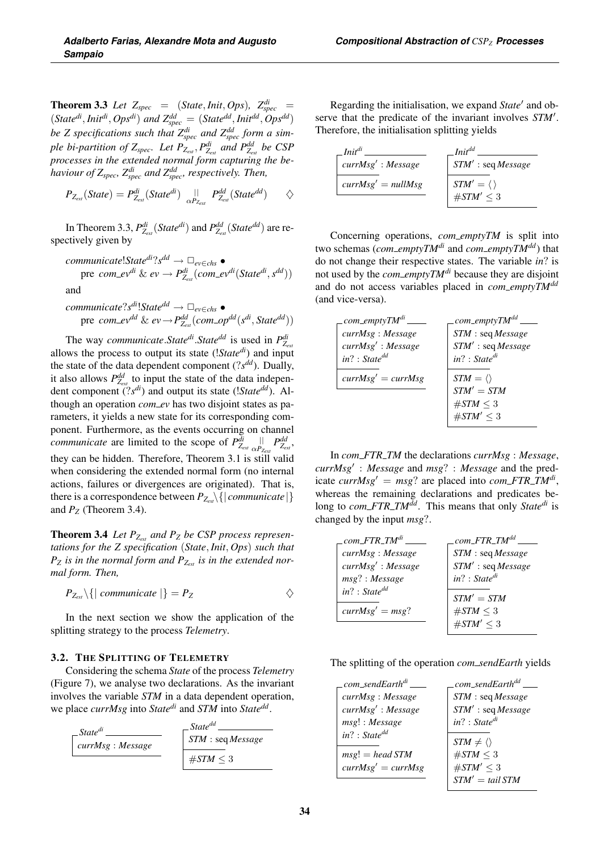**Theorem 3.3** Let  $Z_{spec}$  = (*State*, *Init*, *Ops*)*,*  $Z_{spec}^{di}$  =  $(State^{di},Init^{di},Ops^{di})$  and  $Z_{spec}^{dd} = (State^{dd},Init^{dd},Ops^{dd})$ *be Z specifications such that*  $Z_{spec}^{di}$  *and*  $Z_{spec}^{dd}$  *form a simple bi-partition of Zspec. Let PZext* , *Pdi Zext and Pdd Zext be CSP processes in the extended normal form capturing the behaviour of Zspec, Zdi spec and Zdd spec, respectively. Then,*

$$
P_{Z_{ext}}(State) = P_{Z_{ext}}^{di}(State^{di}) \underset{\alpha P_{Z_{ext}}}{\parallel} P_{Z_{ext}}^{dd}(State^{dd}) \qquad \diamondsuit
$$

In Theorem 3.3,  $P_{Z_{ext}}^{di}(\textit{State}^{di})$  and  $P_{Z_{ext}}^{dd}(\textit{State}^{dd})$  are respectively given by

 ${{\it communicate}}!State^{di}?s^{dd} → ⊡_{ev}∈_{chs}$  • pre  $com\_ev^{di}$  &  $ev \rightarrow P_{Z_{ext}}^{di}(com\_ev^{di}(State^{di}, s^{dd}))$ and

$$
\begin{aligned}\n & \text{communicate?s}^{di} \cdot \text{State}^{dd} \rightarrow \Box_{ev \in chs} \bullet \\
 & \text{pre} \quad \text{com\_ev}^{dd} \& \text{ev} \rightarrow P_{Z_{ext}}^{dd}(\text{com\_op}^{dd}(s^{di}, \text{State}^{dd}))\n \end{aligned}
$$

The way *communicate*.*Statedi*.*Statedd* is used in *Pdi Zext* allows the process to output its state (!*Statedi*) and input the state of the data dependent component (?*sdd*). Dually, it also allows  $P_{Z_{ext}}^{dd}$  to input the state of the data independent component (?*sdi*) and output its state (!*Statedd*). Although an operation *com\_ev* has two disjoint states as parameters, it yields a new state for its corresponding component. Furthermore, as the events occurring on channel *communicate* are limited to the scope of  $P_{Z_{ext}}^{di}$   $\underset{\alpha P_{Z_{ext}}}{\parallel}$   $P_{Z_{ext}}^{dd}$ they can be hidden. Therefore, Theorem 3.1 is still valid when considering the extended normal form (no internal actions, failures or divergences are originated). That is, there is a correspondence between  $P_{Z_{ext}}\{|\textit{communicate}|\}$ and  $P_Z$  (Theorem 3.4).

Theorem 3.4 *Let PZext and PZ be CSP process representations for the Z specification* (*State*, *Init*, *Ops*) *such that*  $P_Z$  *is in the normal form and*  $P_{Z_{ext}}$  *is in the extended normal form. Then,*

$$
P_{Z_{ext}}\setminus\{|\text{ communicate}|\}=P_Z\qquad \qquad \diamondsuit
$$

In the next section we show the application of the splitting strategy to the process *Telemetry*.

#### 3.2. THE SPLITTING OF TELEMETRY

Considering the schema *State* of the process *Telemetry* (Figure 7), we analyse two declarations. As the invariant involves the variable *STM* in a data dependent operation, we place *currMsg* into *Statedi* and *STM* into *Statedd*.



Regarding the initialisation, we expand *State'* and observe that the predicate of the invariant involves *STM'*. Therefore, the initialisation splitting yields

| $Init^{di}$          | <b>Init<sup>dd</sup></b> |
|----------------------|--------------------------|
| currMsg' : Message   | STM' : seq Message       |
| $currMsg' = nullMsg$ | $STM' = \langle \rangle$ |
|                      | # $STM' \leq 3$          |

Concerning operations, *com\_emptyTM* is split into two schemas (*com\_emptyTM<sup>di</sup>* and *com\_emptyTM<sup>dd</sup>*) that do not change their respective states. The variable *in*? is not used by the *com\_emptyTM<sup>di*</sup> because they are disjoint and do not access variables placed in *com emptyTMdd* (and vice-versa).

| $\_com\_emptyTM^{di}$ | com_emptyTM <sup>dd</sup> |
|-----------------------|---------------------------|
| currMsg: Message      | STM : seq Message         |
| currMsg': Message     | STM': seq Message         |
| $in? : State^{dd}$    | $in? : State^{di}$        |
| $currMsg' = currMsg$  | $STM = \langle \rangle$   |
|                       | $STM' = STM$              |
|                       | $\#STM \leq 3$            |
|                       | # $STM' < 3$              |

In *com FTR TM* the declarations *currMsg* : *Message*, *currMsg*- : *Message* and *msg*? : *Message* and the pred $i$  *cate currMsg'* =  $msg$ ? are placed into *com\_FTR\_TM<sup>di</sup>*, whereas the remaining declarations and predicates belong to *com\_FTR\_TM<sup>dd</sup>*. This means that only *State<sup>di</sup>* is changed by the input *msg*?.

| $com\_FTR\_TM^{di}$ | $com\_FTR\_TM^{dd}$  |
|---------------------|----------------------|
| currMsg: Message    | STM : seq Message    |
| currMsg': Message   | $STM'$ : seq Message |
| $msg$ ?: Message    | $in? : State^{di}$   |
| $in? : State^{dd}$  | $STM' = STM$         |
| $currMsg' = msg?$   | # $STM \leq 3$       |
|                     | $\#STM' < 3$         |

The splitting of the operation *com sendEarth* yields

| _com_sendEarth <sup>di</sup> | com_sendEarth <sup>dd</sup> |
|------------------------------|-----------------------------|
| currMsg: Message             | STM : seq Message           |
| currMsg': Message            | $STM'$ : seq Message        |
| $msg$ : Message              | $in? : State^{di}$          |
| $in? : State^{dd}$           | $STM \neq \langle \rangle$  |
| $msg! = head STM$            | # $STM \leq 3$              |
| $currMsg' = currMsg$         | # $STM' \leq 3$             |
|                              | $STM' = tail STM$           |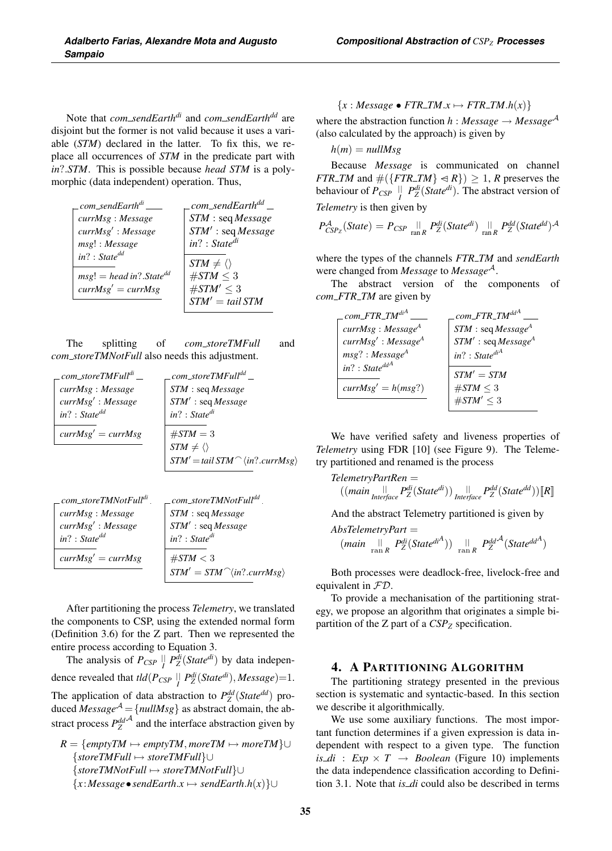Note that *com sendEarthdi* and *com sendEarthdd* are disjoint but the former is not valid because it uses a variable (*STM*) declared in the latter. To fix this, we replace all occurrences of *STM* in the predicate part with *in*?.*STM*. This is possible because *head STM* is a polymorphic (data independent) operation. Thus,

| com_sendEarth <sup>di</sup>             | com_sendEarth <sup>dd</sup> _ |
|-----------------------------------------|-------------------------------|
| currMsg: Message                        | STM : seq Message             |
| currMsg': Message                       | STM': seq Message             |
| msg!: Message                           | $in? : State^{di}$            |
| $in? : State^{dd}$                      |                               |
|                                         | $STM \neq \langle \rangle$    |
| $msg! = head in?$ . State <sup>dd</sup> | $\#STM < 3$                   |
| $currMsg' = currMsg$                    | # $STM' \leq 3$               |
|                                         | $STM' = tail STM$             |

The splitting of *com storeTMFull* and *com storeTMNotFull* also needs this adjustment.

| $\_com\_storeTMFull^{di}$ | .com_storeTMFull <sup>dd</sup> .                   |
|---------------------------|----------------------------------------------------|
| currMsg: Message          | STM : seq Message                                  |
| currMsg': Message         | STM': seq Message                                  |
| $in? : State^{dd}$        | $in? : State^{di}$                                 |
| $currMsg' = currMsg$      | $\#STM = 3$                                        |
|                           | $STM \neq \langle \rangle$                         |
|                           | $STM' = tail STM^\frown \langle in? \dots \rangle$ |
|                           |                                                    |

| _com_storeTMNotFull <sup>di</sup> . | $\_com\_storeTMNotFull^{dd}$ .                 |
|-------------------------------------|------------------------------------------------|
| currMsg: Message                    | STM : seq Message                              |
| currMsg' : Message                  | $STM^{\prime}:seqMessage$                      |
| $in? : State^{dd}$                  | $in? : State^{di}$                             |
| $currMsg' = currMsg$                | $\#STM < 3$<br>$STM' = STM^\n{in?}. \ncurrMsg$ |

After partitioning the process *Telemetry*, we translated the components to CSP, using the extended normal form (Definition 3.6) for the Z part. Then we represented the entire process according to Equation 3.

The analysis of  $P_{CSP}$   $\parallel$   $P_Z^{di}(\textit{State}^{di})$  by data independence revealed that  $\text{tld}(P_{CSP} \parallel P_Z^{\text{di}}(\text{State}^{\text{di}}), \text{Message}) = 1.$ The application of data abstraction to  $P_Z^{dd}(State^{dd})$  produced  $Message^{\mathcal{A}} = \{nullMsg\}$  as abstract domain, the abstract process  $P_Z^{dd}$  and the interface abstraction given by

 $R = \{emptyTM \mapsto emptyTM, moreTM \mapsto moreTM\}$ ∪ {*storeTMFull* → *storeTMFull*}∪ {*storeTMNotFull* → *storeTMNotFull*}∪ {*<sup>x</sup>* :*Message*•*sendEarth*.*<sup>x</sup>* → *sendEarth*.*h*(*x*)}∪

$$
\{x: Message \bullet \textit{FTR\_TM}.x \mapsto \textit{FTR\_TM}.h(x)\}
$$

where the abstraction function  $h : Message \rightarrow Message^{\mathcal{A}}$ (also calculated by the approach) is given by

 $h(m) = nullMsg$ 

Because *Message* is communicated on channel *FTR\_TM* and  $\#({\{FTR\_TM\} \triangleleft R}) \geq 1$ , *R* preserves the behaviour of  $P_{CSP}$  ||  $P_Z^{di}(State^{di})$ . The abstract version of *Telemetry* is then given by

$$
P_{CSP_Z}^{\mathcal{A}}(State) = P_{CSP} \underset{\text{ran } R}{\parallel} P_Z^{di}(State^{di}) \underset{\text{ran } R}{\parallel} P_Z^{dd}(State^{dd})^{\mathcal{A}}
$$

where the types of the channels *FTR TM* and *sendEarth* were changed from *Message* to *Message*A.

The abstract version of the components of *com FTR TM* are given by

| $\_com\_FTR\_TM^{di^A}$         | com_FTR_TM <sup>ddA</sup>      |
|---------------------------------|--------------------------------|
| currMsg: Message <sup>A</sup>   | $STM: \text{seq} Message^A$    |
| currMsg' : Message <sup>A</sup> | STM' : seqMessage <sup>A</sup> |
| $msg$ ? : Message <sup>A</sup>  | $in? : State^{diA}$            |
| $in? : State^{ddA}$             | $STM' = STM$                   |
| $currMsg' = h(msg?)$            | # $STM \leq 3$                 |
|                                 | $\#STM' < 3$                   |

We have verified safety and liveness properties of *Telemetry* using FDR [10] (see Figure 9). The Telemetry partitioned and renamed is the process

$$
TelemetryPartRen = ((\text{main}) \underset{\text{Interface}}{\| \cdot \|} P_Z^{di}(State^{di})) \underset{\text{Interface}}{\| \cdot \|} P_Z^{dd}(State^{dd})) \llbracket R \rrbracket
$$

And the abstract Telemetry partitioned is given by

$$
AbsTelemetryPart =
$$
  
(main  $\lim_{\text{ran } R} P_Z^{di}(\text{State}^{di^A}))$   $\lim_{\text{ran } R} P_Z^{dd^A}(\text{State}^{dd^A})$ 

Both processes were deadlock-free, livelock-free and equivalent in FD.

To provide a mechanisation of the partitioning strategy, we propose an algorithm that originates a simple bipartition of the  $Z$  part of a  $CSP_Z$  specification.

#### 4. A PARTITIONING ALGORITHM

The partitioning strategy presented in the previous section is systematic and syntactic-based. In this section we describe it algorithmically.

We use some auxiliary functions. The most important function determines if a given expression is data independent with respect to a given type. The function  $is\_di$  :  $Exp \times T \rightarrow Boolean$  (Figure 10) implements the data independence classification according to Definition 3.1. Note that *is di* could also be described in terms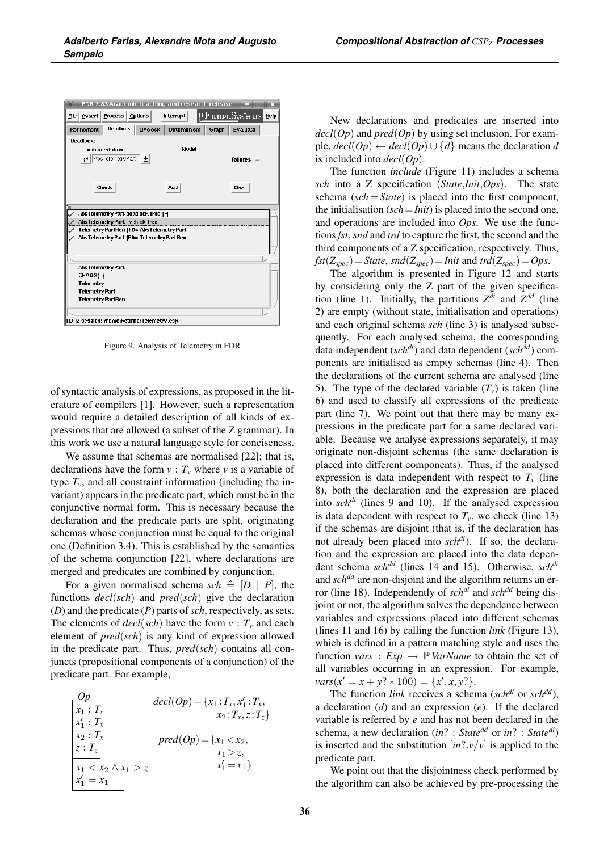| FDR 2.83 Academic Leaching and research release       |                                                |
|-------------------------------------------------------|------------------------------------------------|
| <b>Assert Process Options</b><br>File                 | <u>   FormalSy</u> stems <br>Help<br>Interrupt |
| Deadlock  <br>Livelock  <br>Refinement                | Determinism<br>Graph<br>Evaluate               |
| Deadlock:                                             |                                                |
| Implementation                                        | Model                                          |
| r <sup>*</sup> AbsTeleme:ry <sup>p</sup> art <b>L</b> | <b>Failures</b>                                |
|                                                       |                                                |
|                                                       |                                                |
| Check                                                 | Add<br>Clear                                   |
|                                                       |                                                |
| ₹                                                     |                                                |
| AbsTelemetryPart deadlock free [F]                    |                                                |
| AbsTelemetryPart livelock free                        |                                                |
| Telemetry PartRen (FD= AbsTelemetry Part              |                                                |
| AbsTelemetryPart (FD= TelemetryPartRen                |                                                |
|                                                       |                                                |
|                                                       |                                                |
| AbsTelemetryPart                                      |                                                |
| CHAOS(-)                                              |                                                |
| Telemetry                                             |                                                |
| <b>Telemetry Part</b>                                 |                                                |
| <b>Telemetry PartRen</b>                              |                                                |
|                                                       |                                                |
| FDRZ session: /home/betinho/Telemetry.csp             |                                                |
|                                                       |                                                |

Figure 9. Analysis of Telemetry in FDR

of syntactic analysis of expressions, as proposed in the literature of compilers [1]. However, such a representation would require a detailed description of all kinds of expressions that are allowed (a subset of the Z grammar). In this work we use a natural language style for conciseness.

We assume that schemas are normalised [22]; that is, declarations have the form  $v : T_v$  where *v* is a variable of type  $T_v$ , and all constraint information (including the invariant) appears in the predicate part, which must be in the conjunctive normal form. This is necessary because the declaration and the predicate parts are split, originating schemas whose conjunction must be equal to the original one (Definition 3.4). This is established by the semantics of the schema conjunction [22], where declarations are merged and predicates are combined by conjunction.

For a given normalised schema  $sch \triangleq [D \mid P]$ , the functions *decl*(*sch*) and *pred*(*sch*) give the declaration (*D*) and the predicate (*P*) parts of *sch*, respectively, as sets. The elements of  $decl(sch)$  have the form  $v : T_v$  and each element of *pred*(*sch*) is any kind of expression allowed in the predicate part. Thus, *pred*(*sch*) contains all conjuncts (propositional components of a conjunction) of the predicate part. For example,

$$
Op\nX_1: Tx\n
$$
x_1 : T_x
$$
\n
$$
x_2 : T_x, x_1 : T_x, x_2 : T_z
$$
\n
$$
x_2 : T_x
$$
\n
$$
pred(op) = {x_1 < x_2, x_2 : T_z
$$
\n
$$
z : T_z
$$
\n
$$
r_1 < x_2 \land x_1 > z
$$
\n
$$
x_1 = x_1
$$
\n
$$
x_1 = x_1
$$
$$

New declarations and predicates are inserted into  $decl(Op)$  and  $pred(Op)$  by using set inclusion. For example,  $\text{det}(Op) \leftarrow \text{det}(Op) \cup \{d\}$  means the declaration *d* is included into *decl*(*Op*).

The function *include* (Figure 11) includes a schema *sch* into a Z specification (*State*,*Init*,*Ops*). The state schema (*sch*=*State*) is placed into the first component, the initialisation (*sch*=*Init*) is placed into the second one, and operations are included into *Ops*. We use the functions*fst*, *snd* and *trd* to capture the first, the second and the third components of a Z specification, respectively. Thus,  $fst(Z_{spec}) = State$ ,  $snd(Z_{spec}) = Init$  and  $trd(Z_{spec}) = Ops$ .

The algorithm is presented in Figure 12 and starts by considering only the Z part of the given specification (line 1). Initially, the partitions  $Z^{di}$  and  $Z^{dd}$  (line 2) are empty (without state, initialisation and operations) and each original schema *sch* (line 3) is analysed subsequently. For each analysed schema, the corresponding data independent (*schdi*) and data dependent (*schdd*) components are initialised as empty schemas (line 4). Then the declarations of the current schema are analysed (line 5). The type of the declared variable  $(T_v)$  is taken (line 6) and used to classify all expressions of the predicate part (line 7). We point out that there may be many expressions in the predicate part for a same declared variable. Because we analyse expressions separately, it may originate non-disjoint schemas (the same declaration is placed into different components). Thus, if the analysed expression is data independent with respect to  $T_v$  (line 8), both the declaration and the expression are placed into *schdi* (lines 9 and 10). If the analysed expression is data dependent with respect to  $T_v$ , we check (line 13) if the schemas are disjoint (that is, if the declaration has not already been placed into *schdi*). If so, the declaration and the expression are placed into the data dependent schema *schdd* (lines 14 and 15). Otherwise, *schdi* and *schdd* are non-disjoint and the algorithm returns an error (line 18). Independently of *schdi* and *schdd* being disjoint or not, the algorithm solves the dependence between variables and expressions placed into different schemas (lines 11 and 16) by calling the function *link* (Figure 13), which is defined in a pattern matching style and uses the function *vars* :  $Exp \rightarrow \mathbb{P}$  *VarName* to obtain the set of all variables occurring in an expression. For example,  $vars(x' = x + y$ ? \* 100) = { $x', x, y$ ?}.

The function *link* receives a schema (*schdi* or *schdd*), a declaration (*d*) and an expression (*e*). If the declared variable is referred by *e* and has not been declared in the schema, a new declaration (*in*? : *Statedd* or *in*? : *Statedi*) is inserted and the substitution  $[in? \, v/v]$  is applied to the predicate part.

We point out that the disjointness check performed by the algorithm can also be achieved by pre-processing the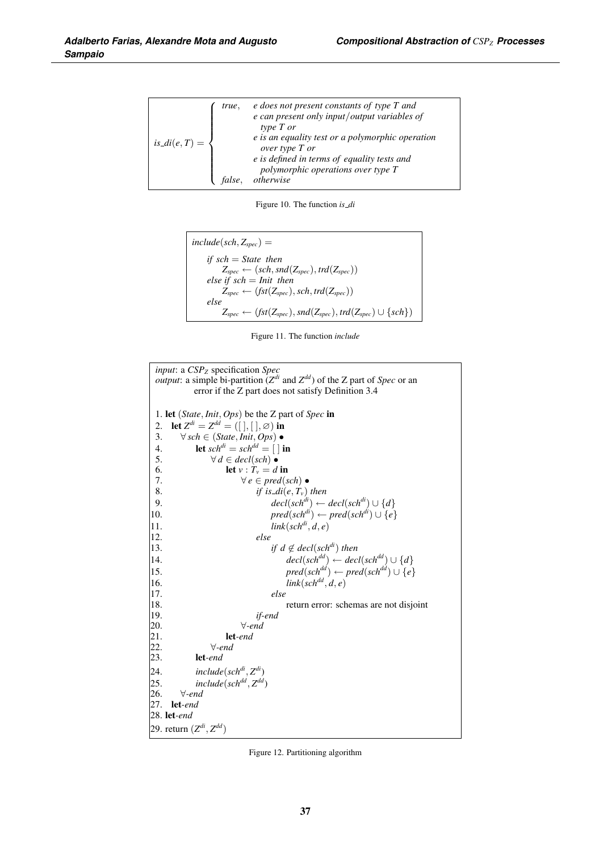| true.               | e does not present constants of type T and<br>$e$ can present only input/output variables of<br>type T or |
|---------------------|-----------------------------------------------------------------------------------------------------------|
| $is\_di(e, T) = \{$ | e is an equality test or a polymorphic operation<br>over type T or                                        |
|                     | e is defined in terms of equality tests and<br>polymorphic operations over type T                         |
|                     | otherwise                                                                                                 |

Figure 10. The function *is di*

| $include(sch, Z_{spec}) =$                                                      |
|---------------------------------------------------------------------------------|
| if $sch = State$ then                                                           |
| $Z_{spec} \leftarrow (sch, \textit{snd}(Z_{spec}), \textit{trd}(Z_{spec}))$     |
| else if $sch = Init$ then                                                       |
| $Z_{spec} \leftarrow (fst(Z_{spec}), sch, trd(Z_{spec}))$                       |
| else                                                                            |
| $Z_{spec} \leftarrow (fst(Z_{spec}),snd(Z_{spec}), trd(Z_{spec}) \cup \{sch\})$ |

Figure 11. The function *include*

| <i>input</i> : a CSP <sub>Z</sub> specification Spec                                                   |
|--------------------------------------------------------------------------------------------------------|
| <i>output</i> : a simple bi-partition ( $Z^{di}$ and $Z^{dd}$ ) of the Z part of <i>Spec</i> or an     |
| error if the Z part does not satisfy Definition 3.4                                                    |
|                                                                                                        |
| 1. let ( <i>State</i> , <i>Init</i> , <i>Ops</i> ) be the Z part of <i>Spec</i> in                     |
| let $Z^{di} = Z^{dd} = ( [ ], [ ], \emptyset )$ in<br>2.                                               |
| 3.<br>$\forall$ sch $\in$ (State, Init, Ops) $\bullet$                                                 |
| let $sch^{di} = sch^{dd} = [\ ]$ in<br>4.                                                              |
| 5.<br>$\forall d \in decl(sch) \bullet$                                                                |
| let $v: T_v = d$ in<br>6.                                                                              |
| 7.<br>$\forall e \in pred(sch) \bullet$                                                                |
| 8.<br>if is_di(e, $T_v$ ) then                                                                         |
| $decl(sch^{di}) \leftarrow decl(sch^{di}) \cup \{d\}$<br>9.                                            |
| $pred(sch^{di}) \leftarrow pred(sch^{di}) \cup \{e\}$<br>10.                                           |
| $link(sch^{di}, d, e)$<br>11.                                                                          |
| 12.<br>else                                                                                            |
| if $d \notin decl(sch^{di})$ then<br>13.                                                               |
| $\text{decl}(\text{sch}^{\text{dd}}) \leftarrow \text{decl}(\text{sch}^{\text{dd}}) \cup \{d\}$<br>14. |
| $pred(sch^{dd}) \leftarrow pred(sch^{dd}) \cup \{e\}$<br>15.                                           |
| $link(sch^{dd}, d, e)$<br>16.                                                                          |
| 17.<br>else                                                                                            |
| 18.<br>return error: schemas are not disjoint                                                          |
| 19.<br>if-end                                                                                          |
| $\forall$ -end<br>20.<br>21.<br>$let-end$                                                              |
| 22.<br>$\forall$ -end                                                                                  |
| 23.<br>$let-end$                                                                                       |
| 24.<br>$include(sch^{di}, Z^{di})$                                                                     |
| $include(sch^{dd}, Z^{dd})$<br>25.                                                                     |
| 26.<br>$\forall$ -end                                                                                  |
| 27.<br>$let-end$                                                                                       |
|                                                                                                        |
| 29. return $(Z^{di}, Z^{dd})$                                                                          |

Figure 12. Partitioning algorithm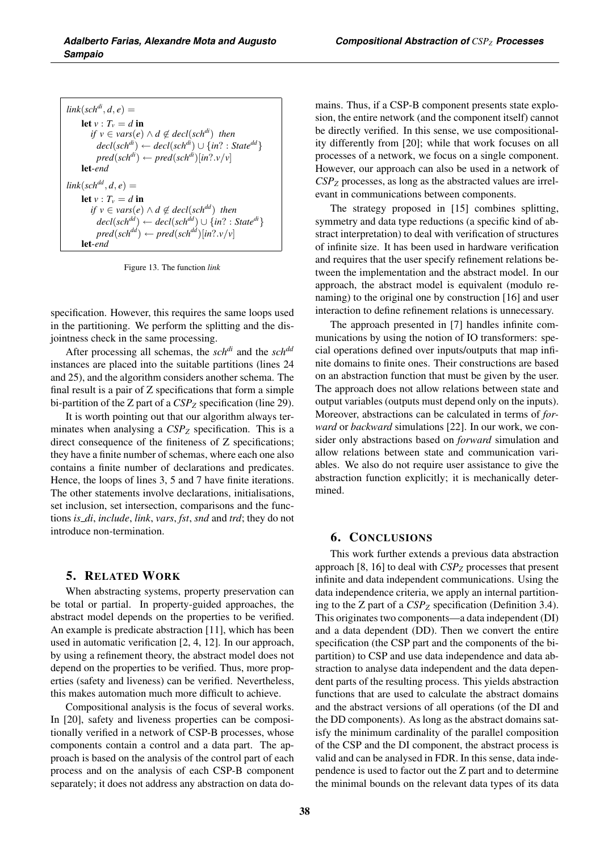| $link(sch^{di}, d, e) =$                                                                                                            |
|-------------------------------------------------------------------------------------------------------------------------------------|
| let $v: T_v = d$ in                                                                                                                 |
| if $v \in vars(e) \wedge d \notin decl(sch^{di})$ then                                                                              |
| $\text{decl}(\text{sch}^{\text{di}}) \leftarrow \text{decl}(\text{sch}^{\text{di}}) \cup \{\text{in?} : \text{State}^{\text{dd}}\}$ |
| $pred(sch^{di}) \leftarrow pred(sch^{di})[in? \cdot v/v]$                                                                           |
| $let-end$                                                                                                                           |
| $link(sch^{dd}, d, e) =$                                                                                                            |
| let $v: T_v = d$ in                                                                                                                 |
| if $v \in vars(e) \wedge d \notin decl(sch^{dd})$ then                                                                              |
| $decl(sch^{dd}) \leftarrow decl(sch^{dd}) \cup \{in? : State^{di}\}\$                                                               |
| $pred(sch^{dd}) \leftarrow pred(sch^{dd})[in? \cdot v/v]$                                                                           |
| let-end                                                                                                                             |

Figure 13. The function *link*

specification. However, this requires the same loops used in the partitioning. We perform the splitting and the disjointness check in the same processing.

After processing all schemas, the *schdi* and the *schdd* instances are placed into the suitable partitions (lines 24 and 25), and the algorithm considers another schema. The final result is a pair of Z specifications that form a simple bi-partition of the Z part of a  $CSP_Z$  specification (line 29).

It is worth pointing out that our algorithm always terminates when analysing a  $CSP_Z$  specification. This is a direct consequence of the finiteness of Z specifications; they have a finite number of schemas, where each one also contains a finite number of declarations and predicates. Hence, the loops of lines 3, 5 and 7 have finite iterations. The other statements involve declarations, initialisations, set inclusion, set intersection, comparisons and the functions *is di*, *include*, *link*, *vars*, *fst*, *snd* and *trd*; they do not introduce non-termination.

#### 5. RELATED WORK

When abstracting systems, property preservation can be total or partial. In property-guided approaches, the abstract model depends on the properties to be verified. An example is predicate abstraction [11], which has been used in automatic verification [2, 4, 12]. In our approach, by using a refinement theory, the abstract model does not depend on the properties to be verified. Thus, more properties (safety and liveness) can be verified. Nevertheless, this makes automation much more difficult to achieve.

Compositional analysis is the focus of several works. In [20], safety and liveness properties can be compositionally verified in a network of CSP-B processes, whose components contain a control and a data part. The approach is based on the analysis of the control part of each process and on the analysis of each CSP-B component separately; it does not address any abstraction on data domains. Thus, if a CSP-B component presents state explosion, the entire network (and the component itself) cannot be directly verified. In this sense, we use compositionality differently from [20]; while that work focuses on all processes of a network, we focus on a single component. However, our approach can also be used in a network of *CSPZ* processes, as long as the abstracted values are irrelevant in communications between components.

The strategy proposed in [15] combines splitting, symmetry and data type reductions (a specific kind of abstract interpretation) to deal with verification of structures of infinite size. It has been used in hardware verification and requires that the user specify refinement relations between the implementation and the abstract model. In our approach, the abstract model is equivalent (modulo renaming) to the original one by construction [16] and user interaction to define refinement relations is unnecessary.

The approach presented in [7] handles infinite communications by using the notion of IO transformers: special operations defined over inputs/outputs that map infinite domains to finite ones. Their constructions are based on an abstraction function that must be given by the user. The approach does not allow relations between state and output variables (outputs must depend only on the inputs). Moreover, abstractions can be calculated in terms of *forward* or *backward* simulations [22]. In our work, we consider only abstractions based on *forward* simulation and allow relations between state and communication variables. We also do not require user assistance to give the abstraction function explicitly; it is mechanically determined.

# 6. CONCLUSIONS

This work further extends a previous data abstraction approach [8, 16] to deal with *CSPZ* processes that present infinite and data independent communications. Using the data independence criteria, we apply an internal partitioning to the Z part of a  $CSP_Z$  specification (Definition 3.4). This originates two components—a data independent (DI) and a data dependent (DD). Then we convert the entire specification (the CSP part and the components of the bipartition) to CSP and use data independence and data abstraction to analyse data independent and the data dependent parts of the resulting process. This yields abstraction functions that are used to calculate the abstract domains and the abstract versions of all operations (of the DI and the DD components). As long as the abstract domains satisfy the minimum cardinality of the parallel composition of the CSP and the DI component, the abstract process is valid and can be analysed in FDR. In this sense, data independence is used to factor out the Z part and to determine the minimal bounds on the relevant data types of its data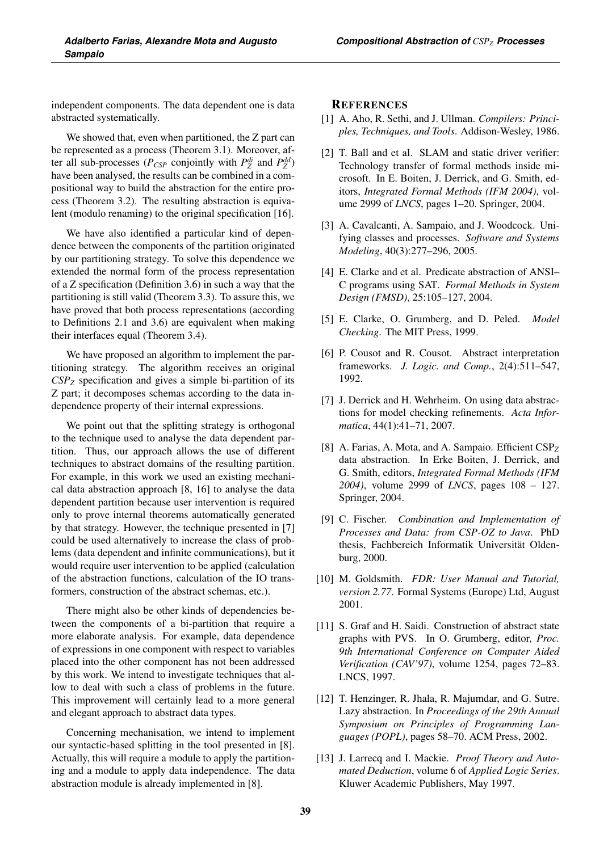independent components. The data dependent one is data abstracted systematically.

We showed that, even when partitioned, the Z part can be represented as a process (Theorem 3.1). Moreover, after all sub-processes ( $P_{CSP}$  conjointly with  $P_Z^{di}$  and  $P_Z^{dd}$ ) have been analysed, the results can be combined in a compositional way to build the abstraction for the entire process (Theorem 3.2). The resulting abstraction is equivalent (modulo renaming) to the original specification [16].

We have also identified a particular kind of dependence between the components of the partition originated by our partitioning strategy. To solve this dependence we extended the normal form of the process representation of a Z specification (Definition 3.6) in such a way that the partitioning is still valid (Theorem 3.3). To assure this, we have proved that both process representations (according to Definitions 2.1 and 3.6) are equivalent when making their interfaces equal (Theorem 3.4).

We have proposed an algorithm to implement the partitioning strategy. The algorithm receives an original *CSPZ* specification and gives a simple bi-partition of its Z part; it decomposes schemas according to the data independence property of their internal expressions.

We point out that the splitting strategy is orthogonal to the technique used to analyse the data dependent partition. Thus, our approach allows the use of different techniques to abstract domains of the resulting partition. For example, in this work we used an existing mechanical data abstraction approach [8, 16] to analyse the data dependent partition because user intervention is required only to prove internal theorems automatically generated by that strategy. However, the technique presented in [7] could be used alternatively to increase the class of problems (data dependent and infinite communications), but it would require user intervention to be applied (calculation of the abstraction functions, calculation of the IO transformers, construction of the abstract schemas, etc.).

There might also be other kinds of dependencies between the components of a bi-partition that require a more elaborate analysis. For example, data dependence of expressions in one component with respect to variables placed into the other component has not been addressed by this work. We intend to investigate techniques that allow to deal with such a class of problems in the future. This improvement will certainly lead to a more general and elegant approach to abstract data types.

Concerning mechanisation, we intend to implement our syntactic-based splitting in the tool presented in [8]. Actually, this will require a module to apply the partitioning and a module to apply data independence. The data abstraction module is already implemented in [8].

#### **REFERENCES**

- [1] A. Aho, R. Sethi, and J. Ullman. *Compilers: Principles, Techniques, and Tools*. Addison-Wesley, 1986.
- [2] T. Ball and et al. SLAM and static driver verifier: Technology transfer of formal methods inside microsoft. In E. Boiten, J. Derrick, and G. Smith, editors, *Integrated Formal Methods (IFM 2004)*, volume 2999 of *LNCS*, pages 1–20. Springer, 2004.
- [3] A. Cavalcanti, A. Sampaio, and J. Woodcock. Unifying classes and processes. *Software and Systems Modeling*, 40(3):277–296, 2005.
- [4] E. Clarke and et al. Predicate abstraction of ANSI– C programs using SAT. *Formal Methods in System Design (FMSD)*, 25:105–127, 2004.
- [5] E. Clarke, O. Grumberg, and D. Peled. *Model Checking*. The MIT Press, 1999.
- [6] P. Cousot and R. Cousot. Abstract interpretation frameworks. *J. Logic. and Comp.*, 2(4):511–547, 1992.
- [7] J. Derrick and H. Wehrheim. On using data abstractions for model checking refinements. *Acta Informatica*, 44(1):41–71, 2007.
- [8] A. Farias, A. Mota, and A. Sampaio. Efficient CSP*<sup>Z</sup>* data abstraction. In Erke Boiten, J. Derrick, and G. Smith, editors, *Integrated Formal Methods (IFM 2004)*, volume 2999 of *LNCS*, pages 108 – 127. Springer, 2004.
- [9] C. Fischer. *Combination and Implementation of Processes and Data: from CSP-OZ to Java*. PhD thesis, Fachbereich Informatik Universität Oldenburg, 2000.
- [10] M. Goldsmith. *FDR: User Manual and Tutorial, version 2.77*. Formal Systems (Europe) Ltd, August 2001.
- [11] S. Graf and H. Saidi. Construction of abstract state graphs with PVS. In O. Grumberg, editor, *Proc. 9th International Conference on Computer Aided Verification (CAV'97)*, volume 1254, pages 72–83. LNCS, 1997.
- [12] T. Henzinger, R. Jhala, R. Majumdar, and G. Sutre. Lazy abstraction. In *Proceedings of the 29th Annual Symposium on Principles of Programming Languages (POPL)*, pages 58–70. ACM Press, 2002.
- [13] J. Larrecq and I. Mackie. *Proof Theory and Automated Deduction*, volume 6 of *Applied Logic Series*. Kluwer Academic Publishers, May 1997.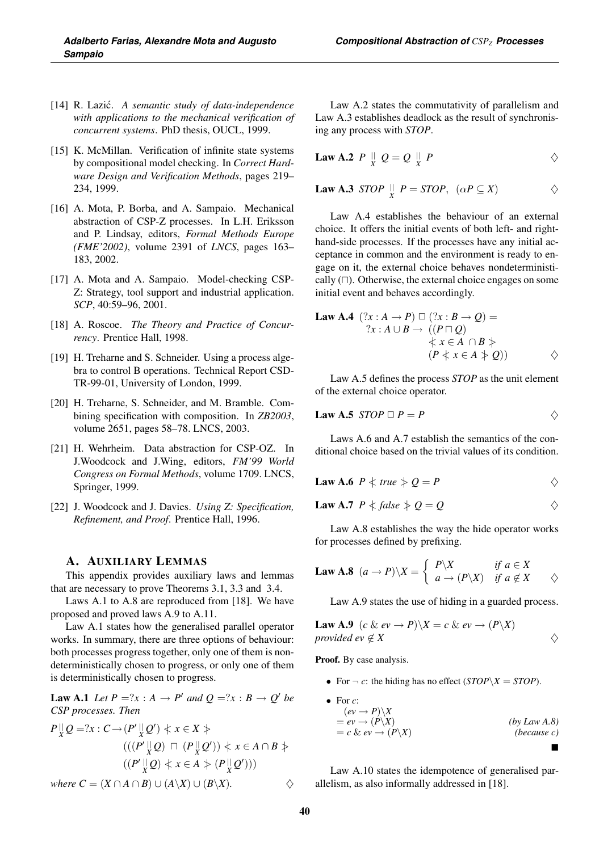- [14] R. Lazic.´ *A semantic study of data-independence with applications to the mechanical verification of concurrent systems*. PhD thesis, OUCL, 1999.
- [15] K. McMillan. Verification of infinite state systems by compositional model checking. In *Correct Hardware Design and Verification Methods*, pages 219– 234, 1999.
- [16] A. Mota, P. Borba, and A. Sampaio. Mechanical abstraction of CSP-Z processes. In L.H. Eriksson and P. Lindsay, editors, *Formal Methods Europe (FME'2002)*, volume 2391 of *LNCS*, pages 163– 183, 2002.
- [17] A. Mota and A. Sampaio. Model-checking CSP-Z: Strategy, tool support and industrial application. *SCP*, 40:59–96, 2001.
- [18] A. Roscoe. *The Theory and Practice of Concurrency*. Prentice Hall, 1998.
- [19] H. Treharne and S. Schneider. Using a process algebra to control B operations. Technical Report CSD-TR-99-01, University of London, 1999.
- [20] H. Treharne, S. Schneider, and M. Bramble. Combining specification with composition. In *ZB2003*, volume 2651, pages 58–78. LNCS, 2003.
- [21] H. Wehrheim. Data abstraction for CSP-OZ. In J.Woodcock and J.Wing, editors, *FM'99 World Congress on Formal Methods*, volume 1709. LNCS, Springer, 1999.
- [22] J. Woodcock and J. Davies. *Using Z: Specification, Refinement, and Proof*. Prentice Hall, 1996.

#### A. AUXILIARY LEMMAS

This appendix provides auxiliary laws and lemmas that are necessary to prove Theorems 3.1, 3.3 and 3.4.

Laws A.1 to A.8 are reproduced from [18]. We have proposed and proved laws A.9 to A.11.

Law A.1 states how the generalised parallel operator works. In summary, there are three options of behaviour: both processes progress together, only one of them is nondeterministically chosen to progress, or only one of them is deterministically chosen to progress.

**Law A.1** Let  $P = ?x : A \rightarrow P'$  and  $Q = ?x : B \rightarrow Q'$  be *CSP processes. Then*

$$
P_X^{\parallel}Q = ?x : C \rightarrow (P' \parallel Q') \Leftrightarrow x \in X \Leftrightarrow
$$
  
\n
$$
(((P' \parallel Q) \sqcap (P \parallel Q')) \Leftrightarrow x \in A \cap B \Leftrightarrow
$$
  
\n
$$
((P' \parallel Q) \Leftrightarrow x \in A \Leftrightarrow (P \parallel Q'))
$$

Law A.2 states the commutativity of parallelism and Law A.3 establishes deadlock as the result of synchronising any process with *STOP*.

$$
Law A.2 P \parallel_{X} Q = Q \parallel_{X} P
$$

**Law A.3** *STOP* 
$$
\parallel
$$
 *P* = *STOP*,  $(\alpha P \subseteq X)$   $\diamond$ 

Law A.4 establishes the behaviour of an external choice. It offers the initial events of both left- and righthand-side processes. If the processes have any initial acceptance in common and the environment is ready to engage on it, the external choice behaves nondeterministically  $(\Box)$ . Otherwise, the external choice engages on some initial event and behaves accordingly.

Law A.4 
$$
(?x : A \rightarrow P) \square (?x : B \rightarrow Q) =
$$
  
\n $?x : A \cup B \rightarrow ((P \sqcap Q)$   
\n $\qquad \qquad \downarrow x \in A \cap B \nRightarrow$   
\n $(P \nless x \in A \nless Q)) \qquad \qquad \diamondsuit$ 

Law A.5 defines the process *STOP* as the unit element of the external choice operator.

$$
Law A.5 \, \, STOP \, \Box \, P = P \qquad \qquad \diamond
$$

Laws A.6 and A.7 establish the semantics of the conditional choice based on the trivial values of its condition.

**Law A.6** 
$$
P \nmid true \nmid Q = P
$$

**Law A.7** 
$$
P \nless false \nless Q = Q
$$
  $\diamond$ 

Law A.8 establishes the way the hide operator works for processes defined by prefixing.

**Law A.8** 
$$
(a \rightarrow P) \backslash X = \begin{cases} P \backslash X & \text{if } a \in X \\ a \rightarrow (P \backslash X) & \text{if } a \notin X \end{cases}
$$
  $\diamond$ 

Law A.9 states the use of hiding in a guarded process.

**Law A.9** 
$$
(c \& ev \rightarrow P) \setminus X = c \& ev \rightarrow (P \setminus X)
$$
  
provided  $ev \notin X$ 

Proof. By case analysis.

- For  $\neg c$ : the hiding has no effect (*STOP*\*X* = *STOP*).
- For  $c$ :  $(ev \rightarrow P) \setminus X$  $= eV \rightarrow (P \backslash X)$  (by Law A.8)<br>  $= c \& ev \rightarrow (P \backslash X)$  (because c)  $= c \& ev \rightarrow (P \setminus X)$  $\blacksquare$

Law A.10 states the idempotence of generalised parallelism, as also informally addressed in [18].

*where*  $C = (X \cap A \cap B) \cup (A \backslash X) \cup (B \backslash X)$ .  $\diamondsuit$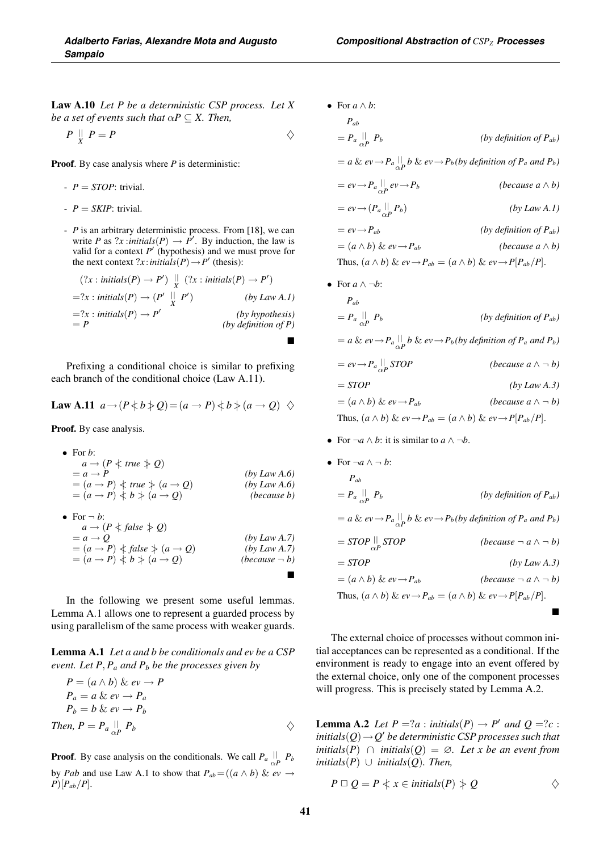Law A.10 *Let P be a deterministic CSP process. Let X be a set of events such that*  $\alpha P \subseteq X$ *. Then,* 

$$
P \parallel P = P
$$

Proof. By case analysis where *P* is deterministic:

- *P* = *STOP*: trivial.
- $P = SKIP$ : trivial.
- *P* is an arbitrary deterministic process. From [18], we can write *P* as  $?x$ :*initials*(*P*)  $\rightarrow$  *P'*. By induction, the law is valid for a context  $P'$  (hypothesis) and we must prove for the next context ?*x* : *initials*(*P*)  $\rightarrow$  *P*<sup> $\prime$ </sup> (thesis):

$$
(?x: initials(P) \rightarrow P') \parallel (?x: initials(P) \rightarrow P')
$$
  
=?x: initials(P) \rightarrow (P' \parallel P') \t\t (by Law A.1)  
=?x: initials(P) \rightarrow P' \t\t (by hypothesis)  
= P \t\t (by definition of P)

Prefixing a conditional choice is similar to prefixing each branch of the conditional choice (Law A.11).

Law A.11 
$$
a \rightarrow (P \nless b \nless Q) = (a \rightarrow P) \nless b \nless (a \rightarrow Q) \nless
$$

Proof. By case analysis.

• For b:  
\n
$$
a \rightarrow (P \nmid true \nmid Q)
$$
  
\n $= a \rightarrow P$   
\n $= (a \rightarrow P) \nmid true \nmid (a \rightarrow Q)$   
\n $= (a \rightarrow P) \nmid b \nmid (a \rightarrow Q)$   
\n $= (a \rightarrow P) \nmid b \nmid (b) Law A.6)$   
\n $= (b) Law A.6$   
\n $= (b) Use a use b$ 

• For 
$$
\neg
$$
 b:  
\n $a \rightarrow (P \nless false \nless Q)$   
\n $= a \rightarrow Q$  (by Law A.7)  
\n $= (a \rightarrow P) \nless false \nless (a \rightarrow Q)$  (by Law A.7)  
\n $= (a \rightarrow P) \nless b \nless (a \rightarrow Q)$  (because  $\neg$  b)

In the following we present some useful lemmas. Lemma A.1 allows one to represent a guarded process by using parallelism of the same process with weaker guards.

Lemma A.1 *Let a and b be conditionals and ev be a CSP event. Let P,*  $P_a$  *and P<sub>b</sub> be the processes given by* 

$$
P = (a \land b) \& ev \rightarrow P
$$
  
\n
$$
P_a = a \& ev \rightarrow P_a
$$
  
\n
$$
P_b = b \& ev \rightarrow P_b
$$
  
\nThen, 
$$
P = P_a \parallel_{\alpha} P_b
$$

**Proof.** By case analysis on the conditionals. We call  $P_a \parallel P_b$ by *Pab* and use Law A.1 to show that  $P_{ab} = ((a \wedge b) \& ev \rightarrow$  $P$ )[ $P_{ab}/P$ ].

$$
P_{ab} = P_a \parallel_{\alpha} P_b
$$
 (by definition of  $P_{ab}$ )  
\n
$$
= a \& ev \rightarrow P_a \parallel_{\alpha} b \& ev \rightarrow P_b (by definition of P_a and P_b)
$$
  
\n
$$
= ev \rightarrow P_a \parallel_{\alpha} ev \rightarrow P_b
$$
 (because  $a \land b$ )  
\n
$$
= ev \rightarrow (P_a \parallel_{\alpha} P_b)
$$
 (by Law A.1)  
\n
$$
= ev \rightarrow P_{ab}
$$
 (by definition of  $P_{ab}$ )  
\n
$$
= (a \land b) \& ev \rightarrow P_{ab}
$$
 (because  $a \land b$ )  
\nThus,  $(a \land b) \& ev \rightarrow P_{ab} = (a \land b) \& ev \rightarrow P[P_{ab}/P].$ 

• For  $a \wedge \neg b$ :

• For *a* ∧ *b*:

$$
P_{ab}
$$
  
\n
$$
= P_a \bigcup_{\alpha P}^{\parallel} P_b
$$
 (by definition of  $P_{ab}$ )  
\n
$$
= a \& ev \rightarrow P_a \bigcup_{\alpha P}^{\parallel} b \& ev \rightarrow P_b (by definition of  $P_a$  and  $P_b$ )  
\n
$$
= ev \rightarrow P_a \bigcup_{\alpha P} STOP
$$
 (because  $a \land \neg b$ )  
\n
$$
= STOP
$$
 (by Law A.3)  
\n
$$
= (a \land b) \& ev \rightarrow P_{ab}
$$
 (because  $a \land \neg b$ )
$$

Thus,  $(a \wedge b) \& ev \rightarrow P_{ab} = (a \wedge b) \& ev \rightarrow P[P_{ab}/P].$ 

• For  $\neg a \land b$ : it is similar to  $a \land \neg b$ .

• For 
$$
\neg a \land \neg b
$$
:  
\n
$$
P_{ab} = P_a \underset{\alpha P}{||} P_b
$$
\n
$$
= a \& ev \rightarrow P_a \underset{\alpha P}{||} b \& ev \rightarrow P_b (by definition of P_a and P_b)
$$
\n
$$
= STOP \underset{\alpha P}{||} STOP
$$
\n
$$
= STOP
$$
\n
$$
(bccause \neg a \land \neg b)
$$
\n
$$
= STOP
$$
\n
$$
(by Law A.3)
$$
\n
$$
= (a \land b) \& ev \rightarrow P_{ab}
$$
\n
$$
(because \neg a \land \neg b)
$$
\nThus,  $(a \land b) \& ev \rightarrow P_{ab} = (a \land b) \& ev \rightarrow P[P_{ab}/P].$ 

The external choice of processes without common initial acceptances can be represented as a conditional. If the environment is ready to engage into an event offered by the external choice, only one of the component processes will progress. This is precisely stated by Lemma A.2.

**Lemma A.2** Let  $P = ?a$  : *initials*( $P$ )  $\rightarrow$   $P'$  *and*  $Q = ?c$  : *initials*(*Q*)→*Q*- *be deterministic CSP processes such that initials*(*P*) <sup>∩</sup> *initials*(*Q*) = <sup>∅</sup>*. Let x be an event from*  $initials(P)$  ∪  $initials(Q)$ *. Then,* 

$$
P \sqcup Q = P \Leftrightarrow x \in \text{initials}(P) \nRightarrow Q \qquad \diamond
$$

 $\blacksquare$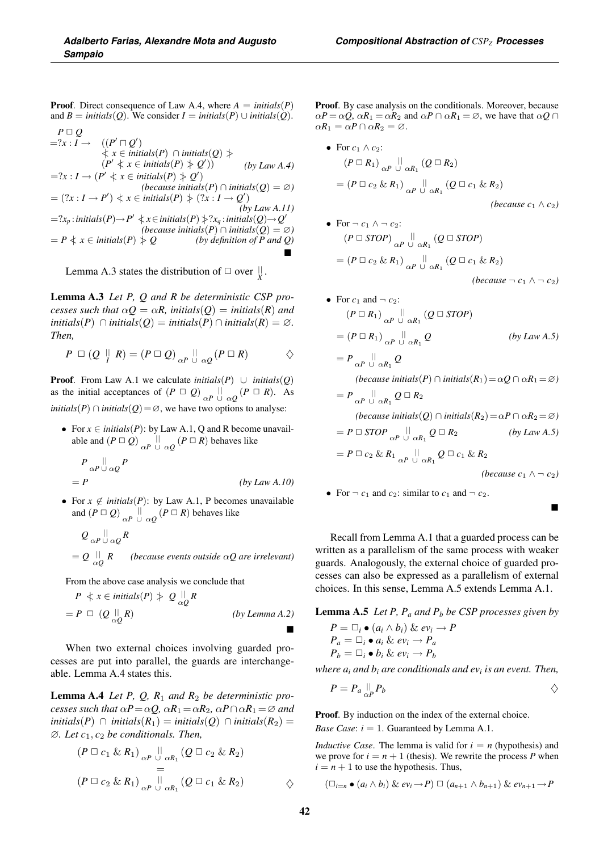**Proof.** Direct consequence of Law A.4, where  $A = \text{initial}(P)$ and *B* = *initials*(*Q*). We consider *I* = *initials*(*P*) ∪ *initials*(*Q*).

$$
P \Box Q
$$
  
=?x : I \rightarrow ((P' \Box Q')  
 $\nq x \in \text{initials}(P) \cap \text{initials}(Q) \nq y$   
=?x : I \rightarrow (P' \nq x \in \text{initials}(P) \nq y) (by Law A.4)  
=?x : I \rightarrow (P' \nq x \in \text{initials}(P) \nq y) (because \text{initials}(Q) = \emptyset)  
= (?x : I \rightarrow P') \nq x \in \text{initials}(P) \nq y (?x : I \rightarrow Q') (by Law A.11)  
=?x<sub>p</sub>: \text{initials}(P) \rightarrow P' \nq x \in \text{initials}(P) \nq y x<sub>q</sub>: \text{initials}(Q) \rightarrow Q'  
(because \text{initials}(P) \cap \text{initials}(Q) = \emptyset)  
= P \nq x \in \text{initials}(P) \nq y (by definition of P and Q)

Lemma A.3 states the distribution of  $\Box$  over  $\parallel_{X}$ .

Lemma A.3 *Let P, Q and R be deterministic CSP processes such that*  $\alpha Q = \alpha R$ *, initials*(*Q*) = *initials*(*R*) *and initials*(*P*) <sup>∩</sup> *initials*(*Q*) = *initials*(*P*) <sup>∩</sup> *initials*(*R*) = <sup>∅</sup>*. Then,*

$$
P \ \Box \ (Q \ \parallel \ R) = (P \ \Box \ Q) \Big|_{\alpha P} \ \parallel \ \alpha Q} (P \ \Box \ R) \qquad \diamond
$$

**Proof.** From Law A.1 we calculate *initials*(*P*) ∪ *initials*(*Q*) as the initial acceptances of  $(P \square Q)_{\alpha P} \bigcup_{\alpha Q} (P \square R)$ . As *initials*( $P$ ) ∩ *initials*( $Q$ ) = ∅, we have two options to analyse:

• For  $x \in \text{initial}(P)$ : by Law A.1, Q and R become unavailable and  $(P \square Q)$ <sub> $\alpha P \cup \alpha Q$ </sub>  $(P \square R)$  behaves like

 $P_{\alpha P}$   $\parallel \alpha Q$   $P$  $= P$  *(by Law A.10)* 

• For  $x \notin \text{initial}(P)$ : by Law A.1, P becomes unavailable and  $(P \square Q)$   $\underset{\alpha P}{\sqcup}$   $\underset{\cup}{\sqcup}$   $\underset{\alpha Q}{\sqcup}$   $(P \square R)$  behaves like

$$
Q_{\alpha P} \overset{\parallel}{\cup} \underset{\alpha Q}{\cup} R
$$
  
=  $Q \overset{\parallel}{\cup} R$  (*because events outside*  $\alpha Q$  *are irrelevant*)

From the above case analysis we conclude that

$$
P \leq x \in \text{initials}(P) \geq Q \underset{\alpha Q}{\parallel} R
$$
  
=  $P \square (Q \underset{\alpha Q}{\parallel} R)$  (by Lemma A.2)

When two external choices involving guarded processes are put into parallel, the guards are interchangeable. Lemma A.4 states this.

Lemma A.4 *Let P, Q, R*<sup>1</sup> *and R*<sup>2</sup> *be deterministic processes such that*  $\alpha P = \alpha Q$ *,*  $\alpha R_1 = \alpha R_2$ *,*  $\alpha P \cap \alpha R_1 = \varnothing$  *and initials*(*P*) ∩ *initials*( $R_1$ ) = *initials*( $Q$ ) ∩ *initials*( $R_2$ ) = ∅*. Let c*1, *c*<sup>2</sup> *be conditionals. Then,*

$$
(P \sqcup c_1 \& R_1) \underset{\alpha P \cup \alpha R_1}{=} (Q \sqcup c_2 \& R_2) \\
= (P \sqcup c_2 \& R_1) \underset{\alpha P \cup \alpha R_1}{=} (Q \sqcup c_1 \& R_2) \qquad \diamond
$$

Proof. By case analysis on the conditionals. Moreover, because  $\alpha P = \alpha Q$ ,  $\alpha R_1 = \alpha R_2$  and  $\alpha P \cap \alpha R_1 = \emptyset$ , we have that  $\alpha Q \cap \alpha$  $\alpha R_1 = \alpha P \cap \alpha R_2 = \varnothing$ .

• For 
$$
c_1 \wedge c_2
$$
:  
\n
$$
(P \Box R_1) \underset{\alpha P}{\parallel} \parallel \underset{\alpha R_1}{\parallel} (Q \Box R_2)
$$
\n
$$
= (P \Box c_2 \& R_1) \underset{\alpha P}{\parallel} \parallel \underset{\alpha R_1}{\parallel} (Q \Box c_1 \& R_2)
$$
\n(*because*  $c_1 \wedge c_2$ )

• For 
$$
\neg c_1 \land \neg c_2
$$
:  
\n
$$
(P \Box STOP) \underset{\alpha P}{\perp} \parallel \underset{\alpha R_1}{\perp} (Q \Box STOP)
$$
\n
$$
= (P \Box c_2 \& R_1) \underset{\alpha P}{\perp} \parallel \underset{\alpha R_1}{\perp} (Q \Box c_1 \& R_2)
$$

 $(because \neg c_1 \land \neg c_2)$ 

• For 
$$
c_1
$$
 and  $\neg c_2$ :  
\n
$$
(P \Box R_1) \underset{\alpha P}{\parallel} \Box R_1 \ (Q \Box \, STOP)
$$
\n
$$
= (P \Box R_1) \underset{\alpha P}{\parallel} \Box R_1 \ Q \qquad (by Law A.5)
$$
\n
$$
= P \underset{\alpha P}{\parallel} \Box R_1 \ Q
$$
\n
$$
(because initials(P) \cap initials(R_1) = \alpha Q \cap \alpha R_1 = \varnothing)
$$
\n
$$
= P \underset{\alpha P}{\parallel} \Box R_1 \ Q \Box R_2
$$
\n
$$
(because initials(Q) \cap initials(R_2) = \alpha P \cap \alpha R_2 = \varnothing)
$$
\n
$$
= P \Box \, STOP \underset{\alpha P}{\parallel} \Box R_1 \ Q \Box R_2 \qquad (by Law A.5)
$$

$$
= P \Box c_2 \& R_1 \mathop{\mathbb{I}}\limits_{\alpha P} \mathop{\mathbb{I}}\limits_{\alpha R_1} Q \Box c_1 \& R_2
$$

*(because c*<sub>1</sub> ∧  $¬$  *c*<sub>2</sub>*)* 

• For  $\neg$  *c*<sub>1</sub> and *c*<sub>2</sub>: similar to *c*<sub>1</sub> and  $\neg$  *c*<sub>2</sub>.

 $\blacksquare$ 

Recall from Lemma A.1 that a guarded process can be written as a parallelism of the same process with weaker guards. Analogously, the external choice of guarded processes can also be expressed as a parallelism of external choices. In this sense, Lemma A.5 extends Lemma A.1.

Lemma A.5 *Let P, Pa and Pb be CSP processes given by*

$$
P = \Box_i \bullet (a_i \land b_i) \& ev_i \rightarrow P
$$
  
\n
$$
P_a = \Box_i \bullet a_i \& ev_i \rightarrow P_a
$$
  
\n
$$
P_b = \Box_i \bullet b_i \& ev_i \rightarrow P_b
$$

*where*  $a_i$  *and*  $b_i$  *are conditionals and*  $ev_i$  *is an event. Then,* 

$$
P = P_a \bigcup_{\alpha P}^{\parallel} P_b
$$

Proof. By induction on the index of the external choice.

*Base Case:*  $i = 1$ . Guaranteed by Lemma A.1.

*Inductive Case.* The lemma is valid for  $i = n$  (hypothesis) and we prove for  $i = n + 1$  (thesis). We rewrite the process *P* when  $i = n + 1$  to use the hypothesis. Thus,

$$
(\square_{i=n} \bullet (a_i \wedge b_i) \& ev_i \rightarrow P) \square (a_{n+1} \wedge b_{n+1}) \& ev_{n+1} \rightarrow P
$$

 $\blacksquare$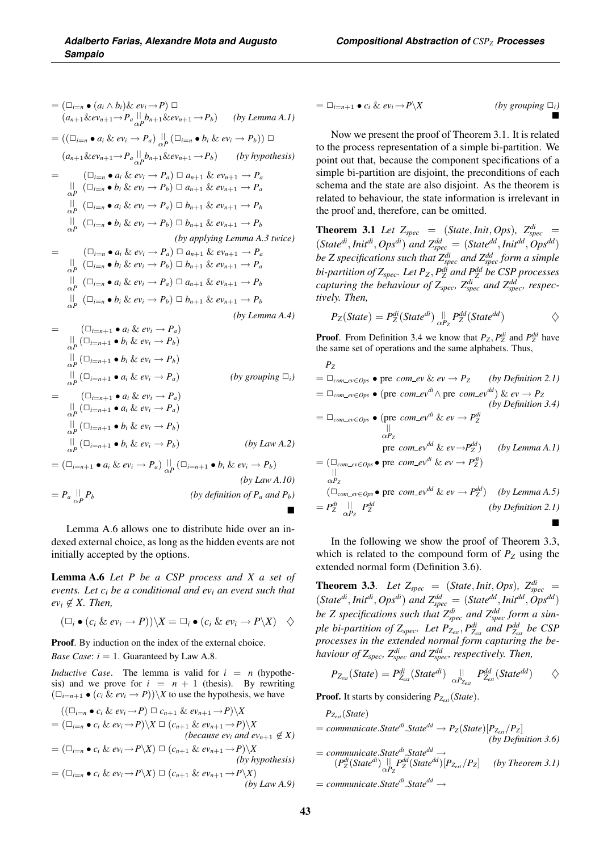$$
= (\Box_{i=n} \bullet (a_i \wedge b_i) \& ev_i \rightarrow P) \Box
$$
  
\n
$$
(a_{n+1} \& ev_{n+1} \rightarrow P_a \parallel b_{n+1} \& ev_{n+1} \rightarrow P_b) \qquad (by Lemma A.1)
$$
  
\n
$$
= ((\Box_{i=n} \bullet a_i \& ev_i \rightarrow P_a) \parallel_{P} (\Box_{i=n} \bullet b_i \& ev_i \rightarrow P_b)) \Box
$$
  
\n
$$
(a_{n+1} \& ev_{n+1} \rightarrow P_a \parallel b_{n+1} \& ev_{n+1} \rightarrow P_b) \qquad (by hypothesis)
$$
  
\n
$$
= (\Box_{i=n} \bullet a_i \& ev_i \rightarrow P_a) \Box a_{n+1} \& ev_{n+1} \rightarrow P_a
$$
  
\n
$$
\parallel (\Box_{i=n} \bullet b_i \& ev_i \rightarrow P_b) \Box a_{n+1} \& ev_{n+1} \rightarrow P_a
$$
  
\n
$$
\parallel (\Box_{i=n} \bullet b_i \& ev_i \rightarrow P_a) \Box b_{n+1} \& ev_{n+1} \rightarrow P_b
$$
  
\n
$$
\parallel (\Box_{i=n} \bullet b_i \& ev_i \rightarrow P_b) \Box b_{n+1} \& ev_{n+1} \rightarrow P_b
$$
  
\n
$$
\parallel (b_{i=n} \bullet b_i \& ev_i \rightarrow P_b) \Box b_{n+1} \& ev_{n+1} \rightarrow P_a
$$
  
\n
$$
\parallel (b_{i=n} \bullet b_i \& ev_i \rightarrow P_b) \Box b_{n+1} \& ev_{n+1} \rightarrow P_a
$$
  
\n
$$
\parallel (b_{i=n} \bullet b_i \& ev_i \rightarrow P_b) \Box b_{n+1} \& ev_{n+1} \rightarrow P_a
$$
  
\n
$$
\parallel (b_{i=n} \bullet b_i \& ev_i \rightarrow P_b) \Box b_{n+1} \& ev_{n+1} \rightarrow P_b
$$
  
\n
$$
\parallel (b_{i=n} \bullet b_i \& ev_i \rightarrow P_b) \Box b_{n+1} \& ev_{n+1} \rightarrow P_b
$$
  
\n
$$
\parallel (b_{i=n+1} \bullet P_b \& ev_i \rightarrow P_b)
$$
  
\n
$$
\parallel (b_{i=n+1} \bullet P_b \& ev_i \rightarrow P_b)
$$
  
\n
$$
\parallel (b_{i=n+1}
$$

Lemma A.6 allows one to distribute hide over an indexed external choice, as long as the hidden events are not initially accepted by the options.

Lemma A.6 *Let P be a CSP process and X a set of events. Let ci be a conditional and evi an event such that*  $ev_i \not\in X$ . Then,

$$
(\Box_i \bullet (c_i \& ev_i \rightarrow P))\backslash X = \Box_i \bullet (c_i \& ev_i \rightarrow P\backslash X) \quad \diamondsuit
$$

Proof. By induction on the index of the external choice. *Base Case:*  $i = 1$ . Guaranteed by Law A.8.

*Inductive Case.* The lemma is valid for  $i = n$  (hypothesis) and we prove for  $i = n + 1$  (thesis). By rewriting  $(\Box_{i=n+1} \bullet (c_i \& ev_i \rightarrow P)) \ X$  to use the hypothesis, we have

$$
\begin{aligned}\n & ((\Box_{i=n} \bullet c_i \& ev_i \rightarrow P) \Box c_{n+1} \& ev_{n+1} \rightarrow P) \setminus X \\
 & = (\Box_{i=n} \bullet c_i \& ev_i \rightarrow P) \setminus X \Box (c_{n+1} \& ev_{n+1} \rightarrow P) \setminus X \\
 & (because \; ev_i \; and \; ev_{n+1} \notin X) \\
 & = (\Box_{i=n} \bullet c_i \& ev_i \rightarrow P \setminus X) \Box (c_{n+1} \& ev_{n+1} \rightarrow P) \setminus X \\
 & (by \; hypothesis) \\
 & = (\Box_{i=n} \bullet c_i \& ev_i \rightarrow P \setminus X) \Box (c_{n+1} \& ev_{n+1} \rightarrow P \setminus X) \\
 & (by \; Law \; A.9)\n \end{aligned}
$$

$$
= \Box_{i=n+1} \bullet c_i \& ev_i \rightarrow P \setminus X
$$

 $(by \, grouping \Box_i)$  $\blacksquare$ 

Now we present the proof of Theorem 3.1. It is related to the process representation of a simple bi-partition. We point out that, because the component specifications of a simple bi-partition are disjoint, the preconditions of each schema and the state are also disjoint. As the theorem is related to behaviour, the state information is irrelevant in the proof and, therefore, can be omitted.

**Theorem 3.1** Let  $Z_{spec}$  = (*State*, *Init*, *Ops*)*,*  $Z_{spec}^{di}$  =  $(K \text{rate}^{di}, \text{Init}^{di}, \text{Ops}^{di})$  and  $Z_{spec}^{dd} = (State^{dd}, \text{Init}^{dd}, \text{Ops}^{dd})$ *be Z specifications such that Zdi spec and Zdd spec form a simple bi-partition of Zspec. Let PZ*, *Pdi <sup>Z</sup> and Pdd <sup>Z</sup> be CSP processes capturing the behaviour of Z<sub>spec</sub>, Z*<sup>*di</sup><sub>spec</sub> and Z*<sup>*dd*</sup><sub>spec</sub>, respec-</sup> *tively. Then,*

$$
P_Z(State) = P_Z^{di}(State^{di}) \underset{\alpha P_Z}{\parallel} P_Z^{dd}(State^{dd})
$$

**Proof.** From Definition 3.4 we know that  $P_Z$ ,  $P_Z^{di}$  and  $P_Z^{dd}$  have the same set of operations and the same alphabets. Thus,

$$
P_Z = \Box_{com\_ev \in Ops} \bullet \text{ pre } com\_ev \& ev \rightarrow P_Z \qquad (by Definition 2.1)
$$
\n
$$
= \Box_{com\_ev \in Ops} \bullet (\text{pre } com\_ev^d \land \text{pre } com\_ev^{dd}) \& ev \rightarrow P_Z \qquad (by Definition 3.4)
$$
\n
$$
= \Box_{com\_ev \in Ops} \bullet (\text{pre } com\_ev^d \& ev \rightarrow P_Z^d) \qquad (by Definition 3.4)
$$
\n
$$
= \Box_{com\_ev \in Ops} \bullet (\text{pre } com\_ev^d \& ev \rightarrow P_Z^d) \qquad (by Lemma A.1)
$$
\n
$$
= (\Box_{com\_ev \in Ops} \bullet \text{pre } com\_ev^d \& ev \rightarrow P_Z^d) \qquad (by Lemma A.5)
$$
\n
$$
= P_Z^{di} \quad \bigcup_{\alpha P_Z}^{id} P_Z^{dd} \qquad (by Definition 2.1)
$$

In the following we show the proof of Theorem 3.3, which is related to the compound form of  $P_Z$  using the extended normal form (Definition 3.6).

**Theorem 3.3.** Let  $Z_{spec}$  = (*State*, *Init*, *Ops*)*,*  $Z_{spec}^{di}$  =  $(K \text{rate}^{di}, \text{Init}^{di}, \text{Ops}^{di})$  and  $Z_{spec}^{dd} = (State^{dd}, \text{Init}^{dd}, \text{Ops}^{dd})$ *be Z specifications such that*  $Z_{spec}^{di}$  *and*  $Z_{spec}^{dd}$  *form a simple bi-partition of Z<sub>spec</sub>. Let*  $P_{Z_{ext}}, P_{Z_{ext}}^{di}$  *and*  $P_{Z_{ext}}^{dd}$  *be CSP processes in the extended normal form capturing the behaviour of Zspec, Zdi spec and Zdd spec, respectively. Then,*

$$
P_{Z_{ext}}(State) = P_{Z_{ext}}^{di}(State^{di}) \big|_{\alpha P_{Z_{ext}}}^{||} P_{Z_{ext}}^{dd}(State^{dd}) \qquad \diamondsuit
$$

**Proof.** It starts by considering  $P_{Z_{ext}}(State)$ .

*PZext* (*State*)  $=$  *communicate.State<sup>di</sup>.State<sup>dd</sup>*  $\rightarrow$   $P_Z(State)[P_{Z_{ext}}/P_Z]$ *(by Definition 3.6)*  $=$  *communicate.State<sup>di</sup>.State<sup>dd</sup>*  $\rightarrow$   $(P_Z^{di}(State^{di})|| P_Z^{id}(State^{dd})[P_{Z_{ext}}/P_Z]$  *(by Theorem 3.1)* <sup>=</sup> *communicate*.*Statedi*.*Statedd* <sup>→</sup>